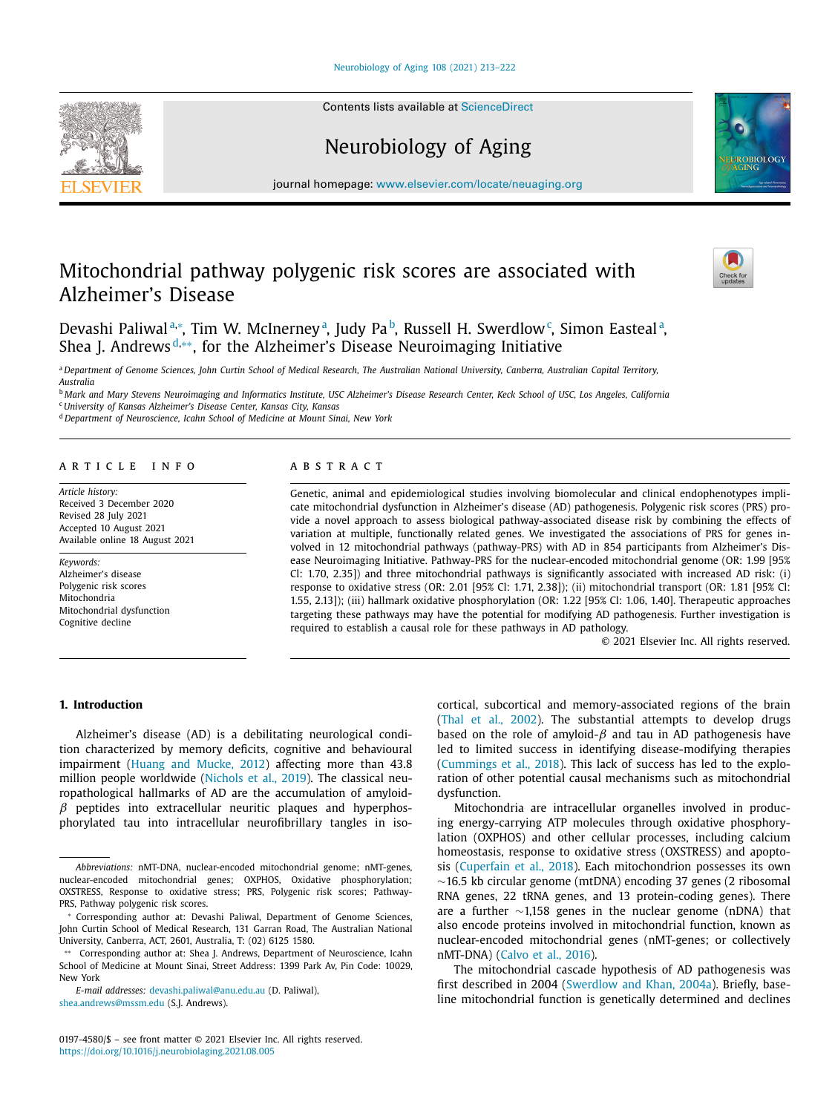[Neurobiology](https://doi.org/10.1016/j.neurobiolaging.2021.08.005) of Aging 108 (2021) 213–222

Contents lists available at [ScienceDirect](http://www.ScienceDirect.com)

# Neurobiology of Aging

journal homepage: [www.elsevier.com/locate/neuaging.org](http://www.elsevier.com/locate/neuaging.org)

# Mitochondrial pathway polygenic risk scores are associated with Alzheimer's Disease



**ROBIOLOGY** 

Devashi Paliwalª\*, Tim W. McInerneyª, Judy Pa♭, Russell H. Swerdlow<sup>c</sup>, Simon Eastealª, Shea J. Andrews d,∗∗, for the Alzheimer's Disease Neuroimaging Initiative

<sup>a</sup> Department of Genome Sciences, John Curtin School of Medical Research, The Australian National University, Canberra, Australian Capital Territory, *Australia*

<sup>b</sup> Mark and Mary Stevens Neuroimaging and Informatics Institute, USC Alzheimer's Disease Research Center, Keck School of USC, Los Angeles, California <sup>c</sup> *University of Kansas Alzheimer's Disease Center, Kansas City, Kansas*

<sup>d</sup> *Department of Neuroscience, Icahn School of Medicine at Mount Sinai, New York*

#### a r t i c l e i n f o

*Article history:* Received 3 December 2020 Revised 28 July 2021 Accepted 10 August 2021 Available online 18 August 2021

*Keywords:* Alzheimer's disease Polygenic risk scores Mitochondria Mitochondrial dysfunction Cognitive decline

# A B S T R A C T

Genetic, animal and epidemiological studies involving biomolecular and clinical endophenotypes implicate mitochondrial dysfunction in Alzheimer's disease (AD) pathogenesis. Polygenic risk scores (PRS) provide a novel approach to assess biological pathway-associated disease risk by combining the effects of variation at multiple, functionally related genes. We investigated the associations of PRS for genes involved in 12 mitochondrial pathways (pathway-PRS) with AD in 854 participants from Alzheimer's Disease Neuroimaging Initiative. Pathway-PRS for the nuclear-encoded mitochondrial genome (OR: 1.99 [95% Cl: 1.70, 2.35]) and three mitochondrial pathways is significantly associated with increased AD risk: (i) response to oxidative stress (OR: 2.01 [95% Cl: 1.71, 2.38]); (ii) mitochondrial transport (OR: 1.81 [95% Cl: 1.55, 2.13]); (iii) hallmark oxidative phosphorylation (OR: 1.22 [95% Cl: 1.06, 1.40]. Therapeutic approaches targeting these pathways may have the potential for modifying AD pathogenesis. Further investigation is required to establish a causal role for these pathways in AD pathology.

© 2021 Elsevier Inc. All rights reserved.

# **1. Introduction**

Alzheimer's disease (AD) is a debilitating neurological condition characterized by memory deficits, cognitive and behavioural impairment (Huang and [Mucke,](#page-7-0) 2012) affecting more than 43.8 million people worldwide [\(Nichols](#page-8-0) et al., 2019). The classical neuropathological hallmarks of AD are the accumulation of amyloid- $\beta$  peptides into extracellular neuritic plaques and hyperphosphorylated tau into intracellular neurofibrillary tangles in iso-

0197-4580/\$ – see front matter © 2021 Elsevier Inc. All rights reserved. <https://doi.org/10.1016/j.neurobiolaging.2021.08.005>

cortical, subcortical and memory-associated regions of the brain (Thal et al., [2002\)](#page-9-0). The substantial attempts to develop drugs based on the role of amyloid- $\beta$  and tau in AD pathogenesis have led to limited success in identifying disease-modifying therapies [\(Cummings](#page-7-0) et al., 2018). This lack of success has led to the exploration of other potential causal mechanisms such as mitochondrial dysfunction.

Mitochondria are intracellular organelles involved in producing energy-carrying ATP molecules through oxidative phosphorylation (OXPHOS) and other cellular processes, including calcium homeostasis, response to oxidative stress (OXSTRESS) and apoptosis [\(Cuperfain](#page-7-0) et al., 2018). Each mitochondrion possesses its own ∼16.5 kb circular genome (mtDNA) encoding 37 genes (2 ribosomal RNA genes, 22 tRNA genes, and 13 protein-coding genes). There are a further ∼1,158 genes in the nuclear genome (nDNA) that also encode proteins involved in mitochondrial function, known as nuclear-encoded mitochondrial genes (nMT-genes; or collectively nMT-DNA) [\(Calvo](#page-7-0) et al., 2016).

The mitochondrial cascade hypothesis of AD pathogenesis was first described in 2004 [\(Swerdlow](#page-9-0) and Khan, 2004a). Briefly, baseline mitochondrial function is genetically determined and declines



*Abbreviations:* nMT-DNA, nuclear-encoded mitochondrial genome; nMT-genes, nuclear-encoded mitochondrial genes; OXPHOS, Oxidative phosphorylation; OXSTRESS, Response to oxidative stress; PRS, Polygenic risk scores; Pathway-PRS, Pathway polygenic risk scores.

Corresponding author at: Devashi Paliwal, Department of Genome Sciences, John Curtin School of Medical Research, 131 Garran Road, The Australian National University, Canberra, ACT, 2601, Australia, T: (02) 6125 1580.

<sup>∗∗</sup> Corresponding author at: Shea J. Andrews, Department of Neuroscience, Icahn School of Medicine at Mount Sinai, Street Address: 1399 Park Av, Pin Code: 10029, New York

*E-mail addresses:* [devashi.paliwal@anu.edu.au](mailto:devashi.paliwal@anu.edu.au) (D. Paliwal), shea.andrews@mssm.edu (S.J. Andrews).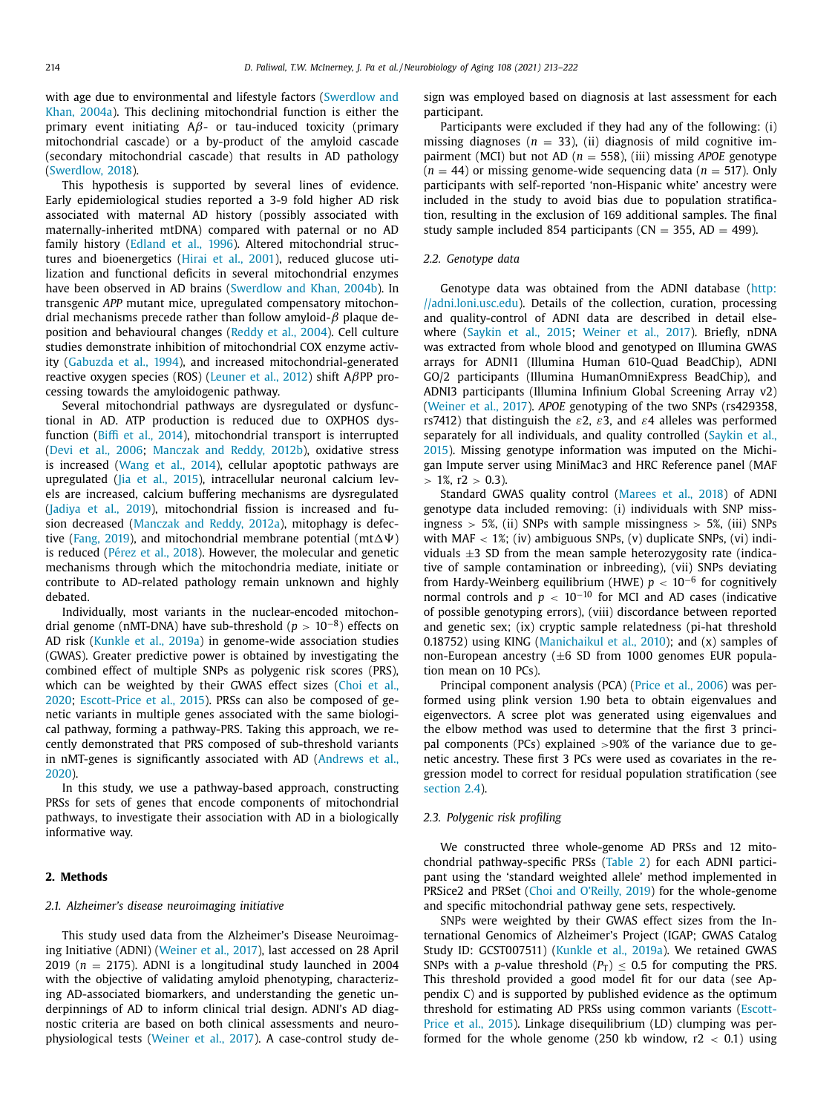with age due to [environmental](#page-9-0) and lifestyle factors (Swerdlow and Khan, 2004a). This declining mitochondrial function is either the primary event initiating  $A\beta$ - or tau-induced toxicity (primary mitochondrial cascade) or a by-product of the amyloid cascade (secondary mitochondrial cascade) that results in AD pathology [\(Swerdlow,](#page-9-0) 2018).

This hypothesis is supported by several lines of evidence. Early epidemiological studies reported a 3-9 fold higher AD risk associated with maternal AD history (possibly associated with maternally-inherited mtDNA) compared with paternal or no AD family history [\(Edland](#page-7-0) et al., 1996). Altered mitochondrial structures and bioenergetics (Hirai et al., [2001\)](#page-7-0), reduced glucose utilization and functional deficits in several mitochondrial enzymes have been observed in AD brains [\(Swerdlow](#page-9-0) and Khan, 2004b). In transgenic *APP* mutant mice, upregulated compensatory mitochondrial mechanisms precede rather than follow amyloid- $\beta$  plaque deposition and behavioural changes [\(Reddy](#page-8-0) et al., 2004). Cell culture studies demonstrate inhibition of mitochondrial COX enzyme activity [\(Gabuzda](#page-7-0) et al., 1994), and increased mitochondrial-generated reactive oxygen species (ROS) [\(Leuner](#page-8-0) et al., 2012) shift AβPP processing towards the amyloidogenic pathway.

Several mitochondrial pathways are dysregulated or dysfunctional in AD. ATP production is reduced due to OXPHOS dysfunction [\(Biffi et](#page-7-0) al., 2014), mitochondrial transport is interrupted (Devi et al., [2006;](#page-7-0) [Manczak](#page-8-0) and Reddy, 2012b), oxidative stress is increased [\(Wang](#page-9-0) et al., 2014), cellular apoptotic pathways are upregulated (Jia et al., [2015\)](#page-7-0), intracellular neuronal calcium levels are increased, calcium buffering mechanisms are dysregulated [\(Jadiya](#page-7-0) et al., 2019), mitochondrial fission is increased and fusion decreased [\(Manczak](#page-8-0) and Reddy, 2012a), mitophagy is defec-tive [\(Fang,](#page-7-0) 2019), and mitochondrial membrane potential ( $mt\Delta\Psi$ ) is reduced [\(Pérez](#page-8-0) et al., 2018). However, the molecular and genetic mechanisms through which the mitochondria mediate, initiate or contribute to AD-related pathology remain unknown and highly debated.

Individually, most variants in the nuclear-encoded mitochondrial genome (nMT-DNA) have sub-threshold (*p* > 10−8) effects on AD risk [\(Kunkle](#page-7-0) et al., 2019a) in genome-wide association studies (GWAS). Greater predictive power is obtained by investigating the combined effect of multiple SNPs as polygenic risk scores (PRS), which can be weighted by their GWAS effect sizes (Choi et al., 2020; [Escott-Price](#page-7-0) et al., 2015). PRSs can also be composed of genetic variants in multiple genes associated with the same biological pathway, forming a pathway-PRS. Taking this approach, we recently demonstrated that PRS composed of sub-threshold variants in nMT-genes is [significantly](#page-7-0) associated with AD (Andrews et al., 2020).

In this study, we use a pathway-based approach, constructing PRSs for sets of genes that encode components of mitochondrial pathways, to investigate their association with AD in a biologically informative way.

# **2. Methods**

## *2.1. Alzheimer's disease neuroimaging initiative*

This study used data from the Alzheimer's Disease Neuroimaging Initiative (ADNI) [\(Weiner](#page-9-0) et al., 2017), last accessed on 28 April 2019 ( $n = 2175$ ). ADNI is a longitudinal study launched in 2004 with the objective of validating amyloid phenotyping, characterizing AD-associated biomarkers, and understanding the genetic underpinnings of AD to inform clinical trial design. ADNI's AD diagnostic criteria are based on both clinical assessments and neurophysiological tests [\(Weiner](#page-9-0) et al., 2017). A case-control study design was employed based on diagnosis at last assessment for each participant.

Participants were excluded if they had any of the following: (i) missing diagnoses ( $n = 33$ ), (ii) diagnosis of mild cognitive impairment (MCI) but not AD (*n* = 558), (iii) missing *APOE* genotype  $(n = 44)$  or missing genome-wide sequencing data  $(n = 517)$ . Only participants with self-reported 'non-Hispanic white' ancestry were included in the study to avoid bias due to population stratification, resulting in the exclusion of 169 additional samples. The final study sample included 854 participants ( $CN = 355$ ,  $AD = 499$ ).

#### *2.2. Genotype data*

Genotype data was obtained from the ADNI database (http: [//adni.loni.usc.edu\).](http://adni.loni.usc.edu) Details of the collection, curation, processing and quality-control of ADNI data are described in detail elsewhere [\(Saykin](#page-8-0) et al., 2015; [Weiner](#page-9-0) et al., 2017). Briefly, nDNA was extracted from whole blood and genotyped on Illumina GWAS arrays for ADNI1 (Illumina Human 610-Quad BeadChip), ADNI GO/2 participants (Illumina HumanOmniExpress BeadChip), and ADNI3 participants (Illumina Infinium Global Screening Array v2) [\(Weiner](#page-9-0) et al., 2017). *APOE* genotyping of the two SNPs (rs429358, rs7412) that distinguish the  $\varepsilon$ 2,  $\varepsilon$ 3, and  $\varepsilon$ 4 alleles was performed separately for all individuals, and quality controlled (Saykin et al., 2015). Missing genotype [information](#page-8-0) was imputed on the Michigan Impute server using MiniMac3 and HRC Reference panel (MAF  $> 1\%, r2 > 0.3$ ).

Standard GWAS quality control [\(Marees](#page-8-0) et al., 2018) of ADNI genotype data included removing: (i) individuals with SNP missingness  $> 5\%$ , (ii) SNPs with sample missingness  $> 5\%$ , (iii) SNPs with MAF  $<$  1%; (iv) ambiguous SNPs, (v) duplicate SNPs, (vi) individuals  $\pm 3$  SD from the mean sample heterozygosity rate (indicative of sample contamination or inbreeding), (vii) SNPs deviating from Hardy-Weinberg equilibrium (HWE) *p* < 10−<sup>6</sup> for cognitively normal controls and *p* < 10−<sup>10</sup> for MCI and AD cases (indicative of possible genotyping errors), (viii) discordance between reported and genetic sex; (ix) cryptic sample relatedness (pi-hat threshold 0.18752) using KING [\(Manichaikul](#page-8-0) et al., 2010); and (x) samples of non-European ancestry  $(\pm 6$  SD from 1000 genomes EUR population mean on 10 PCs).

Principal component analysis (PCA) (Price et al., [2006\)](#page-8-0) was performed using plink version 1.90 beta to obtain eigenvalues and eigenvectors. A scree plot was generated using eigenvalues and the elbow method was used to determine that the first 3 principal components (PCs) explained >90% of the variance due to genetic ancestry. These first 3 PCs were used as covariates in the regression model to correct for residual population stratification (see [section](#page-2-0) 2.4).

#### *2.3. Polygenic risk profiling*

We constructed three whole-genome AD PRSs and 12 mitochondrial pathway-specific PRSs [\(Table](#page-4-0) 2) for each ADNI participant using the 'standard weighted allele' method implemented in PRSice2 and PRSet (Choi and [O'Reilly,](#page-7-0) 2019) for the whole-genome and specific mitochondrial pathway gene sets, respectively.

SNPs were weighted by their GWAS effect sizes from the International Genomics of Alzheimer's Project (IGAP; GWAS Catalog Study ID: GCST007511) [\(Kunkle](#page-7-0) et al., 2019a). We retained GWAS SNPs with a *p*-value threshold ( $P_T$ )  $\leq$  0.5 for computing the PRS. This threshold provided a good model fit for our data (see Appendix C) and is supported by published evidence as the optimum threshold for estimating AD PRSs using common variants (Escott-Price et al., 2015). Linkage [disequilibrium](#page-7-0) (LD) clumping was performed for the whole genome (250 kb window,  $r2 < 0.1$ ) using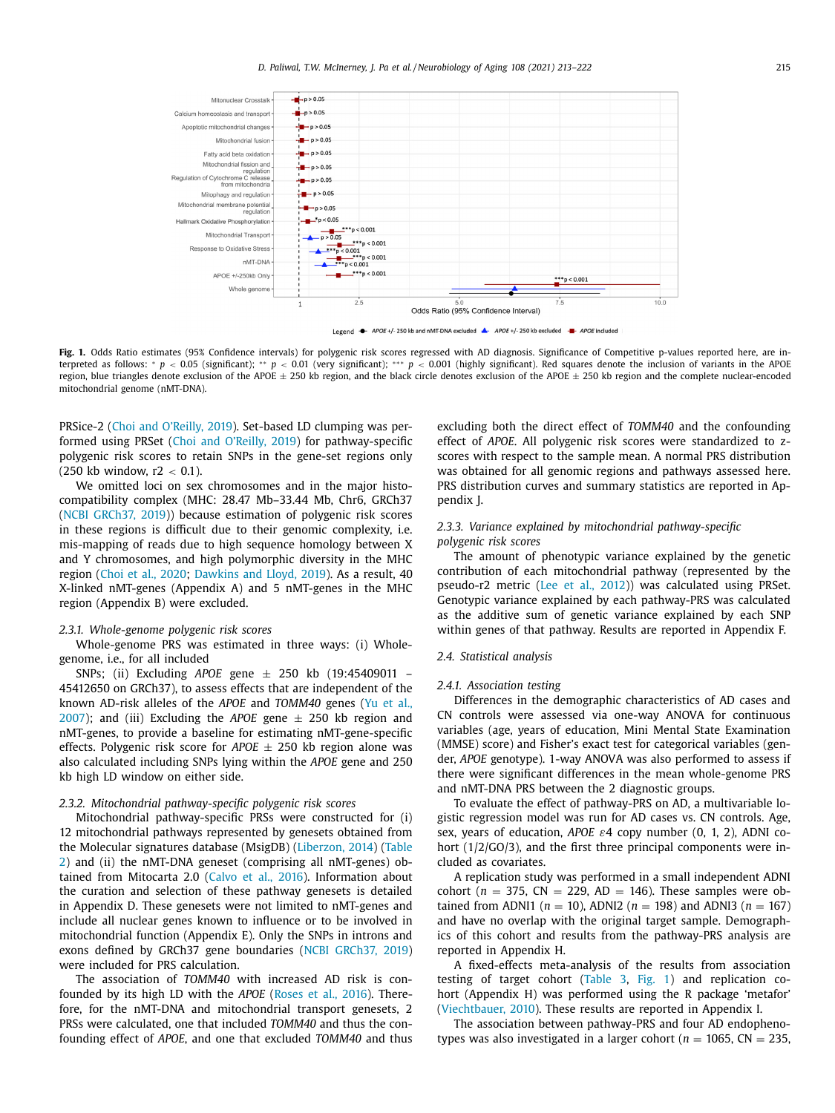<span id="page-2-0"></span>

Legend <sup>+</sup> APOE +/-250 kb and nMT-DNA excluded <sup>A</sup> APOE +/-250 kb excluded -<sup>2</sup> APOE included

Fig. 1. Odds Ratio estimates (95% Confidence intervals) for polygenic risk scores regressed with AD diagnosis. Significance of Competitive p-values reported here, are interpreted as follows: <sup>∗</sup> *p* < 0.05 (significant); ∗∗ *p* < 0.01 (very significant); ∗∗∗ *p* < 0.001 (highly significant). Red squares denote the inclusion of variants in the APOE region, blue triangles denote exclusion of the APOE ± 250 kb region, and the black circle denotes exclusion of the APOE ± 250 kb region and the complete nuclear-encoded mitochondrial genome (nMT-DNA).

PRSice-2 (Choi and [O'Reilly,](#page-7-0) 2019). Set-based LD clumping was performed using PRSet (Choi and [O'Reilly,](#page-7-0) 2019) for pathway-specific polygenic risk scores to retain SNPs in the gene-set regions only (250 kb window,  $r2 < 0.1$ ).

We omitted loci on sex chromosomes and in the major histocompatibility complex (MHC: 28.47 Mb–33.44 Mb, Chr6, GRCh37 (NCBI [GRCh37,](#page-8-0) 2019)) because estimation of polygenic risk scores in these regions is difficult due to their genomic complexity, i.e. mis-mapping of reads due to high sequence homology between X and Y chromosomes, and high polymorphic diversity in the MHC region (Choi et al., [2020;](#page-7-0) [Dawkins](#page-7-0) and Lloyd, 2019). As a result, 40 X-linked nMT-genes (Appendix A) and 5 nMT-genes in the MHC region (Appendix B) were excluded.

#### *2.3.1. Whole-genome polygenic risk scores*

Whole-genome PRS was estimated in three ways: (i) Wholegenome, i.e., for all included

SNPs; (ii) Excluding *APOE* gene ± 250 kb (19:45409011 – 45412650 on GRCh37), to assess effects that are independent of the known AD-risk alleles of the *APOE* and *TOMM40* genes (Yu et al., 2007); and (iii) [Excluding](#page-9-0) the *APOE* gene  $\pm$  250 kb region and nMT-genes, to provide a baseline for estimating nMT-gene-specific effects. Polygenic risk score for *APOE* ± 250 kb region alone was also calculated including SNPs lying within the *APOE* gene and 250 kb high LD window on either side.

## *2.3.2. Mitochondrial pathway-specific polygenic risk scores*

Mitochondrial pathway-specific PRSs were constructed for (i) 12 mitochondrial pathways represented by genesets obtained from the Molecular signatures database (MsigDB) [\(Liberzon,](#page-8-0) 2014) (Table 2) and (ii) the nMT-DNA geneset [\(comprising](#page-4-0) all nMT-genes) obtained from Mitocarta 2.0 [\(Calvo](#page-7-0) et al., 2016). Information about the curation and selection of these pathway genesets is detailed in Appendix D. These genesets were not limited to nMT-genes and include all nuclear genes known to influence or to be involved in mitochondrial function (Appendix E). Only the SNPs in introns and exons defined by GRCh37 gene boundaries (NCBI [GRCh37,](#page-8-0) 2019) were included for PRS calculation.

The association of *TOMM40* with increased AD risk is confounded by its high LD with the *APOE* [\(Roses](#page-8-0) et al., 2016). Therefore, for the nMT-DNA and mitochondrial transport genesets, 2 PRSs were calculated, one that included *TOMM40* and thus the confounding effect of *APOE*, and one that excluded *TOMM40* and thus excluding both the direct effect of *TOMM40* and the confounding effect of *APOE*. All polygenic risk scores were standardized to zscores with respect to the sample mean. A normal PRS distribution was obtained for all genomic regions and pathways assessed here. PRS distribution curves and summary statistics are reported in Appendix J.

# *2.3.3. Variance explained by mitochondrial pathway-specific polygenic risk scores*

The amount of phenotypic variance explained by the genetic contribution of each mitochondrial pathway (represented by the pseudo-r2 metric (Lee et al., [2012\)](#page-8-0)) was calculated using PRSet. Genotypic variance explained by each pathway-PRS was calculated as the additive sum of genetic variance explained by each SNP within genes of that pathway. Results are reported in Appendix F.

#### *2.4. Statistical analysis*

## *2.4.1. Association testing*

Differences in the demographic characteristics of AD cases and CN controls were assessed via one-way ANOVA for continuous variables (age, years of education, Mini Mental State Examination (MMSE) score) and Fisher's exact test for categorical variables (gender, *APOE* genotype). 1-way ANOVA was also performed to assess if there were significant differences in the mean whole-genome PRS and nMT-DNA PRS between the 2 diagnostic groups.

To evaluate the effect of pathway-PRS on AD, a multivariable logistic regression model was run for AD cases vs. CN controls. Age, sex, years of education, *APOE* ε4 copy number (0, 1, 2), ADNI cohort (1/2/GO/3), and the first three principal components were included as covariates.

A replication study was performed in a small independent ADNI cohort ( $n = 375$ , CN = 229, AD = 146). These samples were obtained from ADNI1 ( $n = 10$ ), ADNI2 ( $n = 198$ ) and ADNI3 ( $n = 167$ ) and have no overlap with the original target sample. Demographics of this cohort and results from the pathway-PRS analysis are reported in Appendix H.

A fixed-effects meta-analysis of the results from association testing of target cohort [\(Table](#page-4-0) 3, Fig. 1) and replication cohort (Appendix H) was performed using the R package 'metafor' [\(Viechtbauer,](#page-9-0) 2010). These results are reported in Appendix I.

The association between pathway-PRS and four AD endophenotypes was also investigated in a larger cohort ( $n = 1065$ , CN = 235,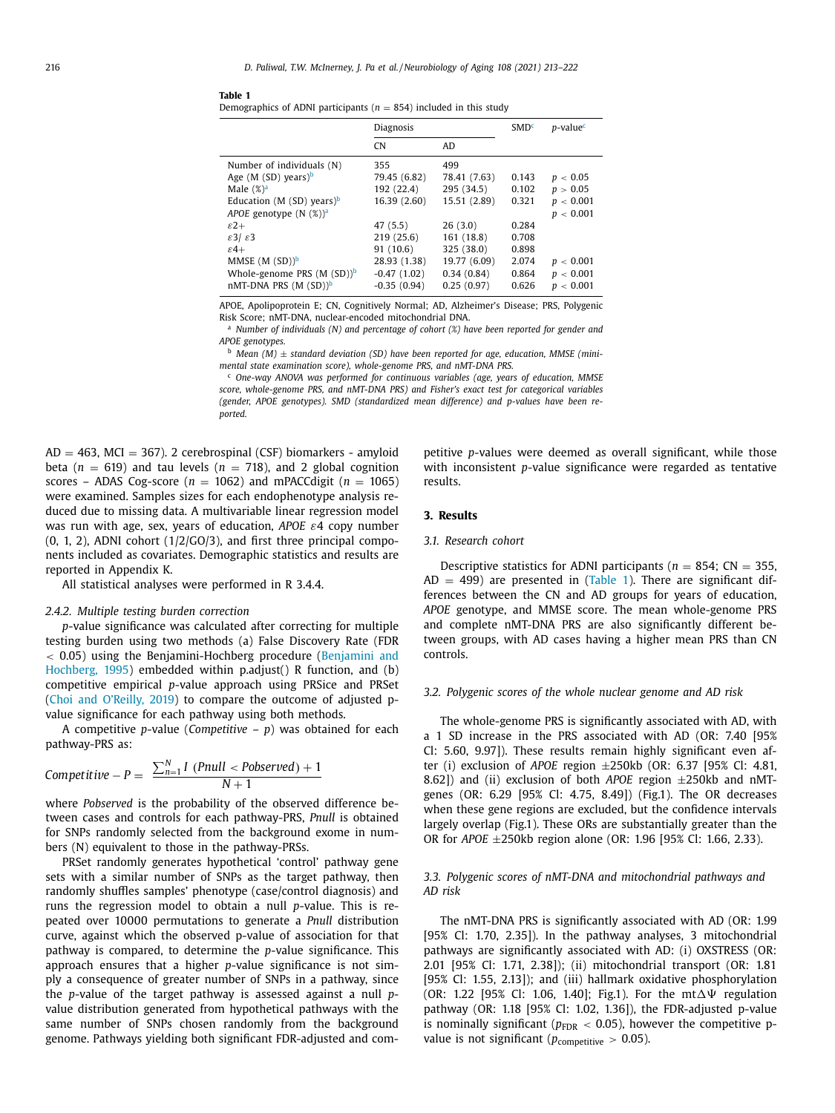|                                      | <b>Diagnosis</b> |              | SMD <sup>c</sup> | $p$ -value <sup>c</sup> |
|--------------------------------------|------------------|--------------|------------------|-------------------------|
|                                      | <b>CN</b>        | AD.          |                  |                         |
| Number of individuals (N)            | 355              | 499          |                  |                         |
| Age (M $(SD)$ years) <sup>b</sup>    | 79.45 (6.82)     | 78.41 (7.63) | 0.143            | p < 0.05                |
| Male $(\%)^a$                        | 192 (22.4)       | 295 (34.5)   | 0.102            | p > 0.05                |
| Education (M (SD) years) $b$         | 16.39 (2.60)     | 15.51 (2.89) | 0.321            | p < 0.001               |
| APOE genotype $(N$ (%)) <sup>a</sup> |                  |              |                  | p < 0.001               |
| $\epsilon$ 2+                        | 47 (5.5)         | 26(3.0)      | 0.284            |                         |
| $\mathcal{E}$ 3/ $\mathcal{E}$ 3     | 219 (25.6)       | 161 (18.8)   | 0.708            |                         |
| $\epsilon$ 4+                        | 91 (10.6)        | 325 (38.0)   | 0.898            |                         |
| MMSE $(M (SD))^b$                    | 28.93 (1.38)     | 19.77 (6.09) | 2.074            | p < 0.001               |
| Whole-genome PRS $(M(SD))^b$         | $-0.47(1.02)$    | 0.34(0.84)   | 0.864            | p < 0.001               |
| nMT-DNA PRS $(M (SD))^b$             | $-0.35(0.94)$    | 0.25(0.97)   | 0.626            | p < 0.001               |

**Table 1** Demographics of ADNI participants ( $n = 854$ ) included in this study

APOE, Apolipoprotein E; CN, Cognitively Normal; AD, Alzheimer's Disease; PRS, Polygenic Risk Score; nMT-DNA, nuclear-encoded mitochondrial DNA.

<sup>a</sup> *Number of individuals (N) and percentage of cohort (%) have been reported for gender and APOE genotypes.*

<sup>b</sup> *Mean (M)* <sup>±</sup> *standard deviation (SD) have been reported for age, education, MMSE (minimental state examination score), whole-genome PRS, and nMT-DNA PRS.*

<sup>c</sup> *One-way ANOVA was performed for continuous variables (age, years of education, MMSE score, whole-genome PRS, and nMT-DNA PRS) and Fisher's exact test for categorical variables (gender, APOE genotypes). SMD (standardized mean difference) and p-values have been reported.*

 $AD = 463$ , MCI = 367). 2 cerebrospinal (CSF) biomarkers - amyloid beta ( $n = 619$ ) and tau levels ( $n = 718$ ), and 2 global cognition scores – ADAS Cog-score ( $n = 1062$ ) and mPACCdigit ( $n = 1065$ ) were examined. Samples sizes for each endophenotype analysis reduced due to missing data. A multivariable linear regression model was run with age, sex, years of education, *APOE* ε4 copy number  $(0, 1, 2)$ , ADNI cohort  $(1/2/GO/3)$ , and first three principal components included as covariates. Demographic statistics and results are reported in Appendix K.

All statistical analyses were performed in R 3.4.4.

#### *2.4.2. Multiple testing burden correction*

*p*-value significance was calculated after correcting for multiple testing burden using two methods (a) False Discovery Rate (FDR < 0.05) using the [Benjamini-Hochberg](#page-7-0) procedure (Benjamini and Hochberg, 1995) embedded within p.adjust() R function, and (b) competitive empirical *p*-value approach using PRSice and PRSet (Choi and [O'Reilly,](#page-7-0) 2019) to compare the outcome of adjusted pvalue significance for each pathway using both methods.

A competitive *p*-value (*Competitive – p*) was obtained for each pathway-PRS as:

$$
Competitive - P = \frac{\sum_{n=1}^{N} I (Pnull < Pobserved) + 1}{N + 1}
$$

where *Pobserved* is the probability of the observed difference between cases and controls for each pathway-PRS, *Pnull* is obtained for SNPs randomly selected from the background exome in numbers (N) equivalent to those in the pathway-PRSs.

PRSet randomly generates hypothetical 'control' pathway gene sets with a similar number of SNPs as the target pathway, then randomly shuffles samples' phenotype (case/control diagnosis) and runs the regression model to obtain a null *p*-value. This is repeated over 10000 permutations to generate a *Pnull* distribution curve, against which the observed p-value of association for that pathway is compared, to determine the *p*-value significance. This approach ensures that a higher *p*-value significance is not simply a consequence of greater number of SNPs in a pathway, since the *p*-value of the target pathway is assessed against a null *p*value distribution generated from hypothetical pathways with the same number of SNPs chosen randomly from the background genome. Pathways yielding both significant FDR-adjusted and competitive *p*-values were deemed as overall significant, while those with inconsistent *p*-value significance were regarded as tentative results.

#### **3. Results**

#### *3.1. Research cohort*

Descriptive statistics for ADNI participants ( $n = 854$ ; CN = 355,  $AD = 499$ ) are presented in (Table 1). There are significant differences between the CN and AD groups for years of education, *APOE* genotype, and MMSE score. The mean whole-genome PRS and complete nMT-DNA PRS are also significantly different between groups, with AD cases having a higher mean PRS than CN controls.

### *3.2. Polygenic scores of the whole nuclear genome and AD risk*

The whole-genome PRS is significantly associated with AD, with a 1 SD increase in the PRS associated with AD (OR: 7.40 [95% Cl: 5.60, 9.97]). These results remain highly significant even after (i) exclusion of *APOE* region ±250kb (OR: 6.37 [95% Cl: 4.81, 8.62]) and (ii) exclusion of both *APOE* region  $\pm$ 250kb and nMTgenes (OR: 6.29 [95% Cl: 4.75, 8.49]) (Fig.1). The OR decreases when these gene regions are excluded, but the confidence intervals largely overlap (Fig.1). These ORs are substantially greater than the OR for *APOE* ±250kb region alone (OR: 1.96 [95% Cl: 1.66, 2.33).

### *3.3. Polygenic scores of nMT-DNA and mitochondrial pathways and AD risk*

The nMT-DNA PRS is significantly associated with AD (OR: 1.99 [95% Cl: 1.70, 2.35]). In the pathway analyses, 3 mitochondrial pathways are significantly associated with AD: (i) OXSTRESS (OR: 2.01 [95% Cl: 1.71, 2.38]); (ii) mitochondrial transport (OR: 1.81 [95% Cl: 1.55, 2.13]); and (iii) hallmark oxidative phosphorylation (OR: 1.22 [95% Cl: 1.06, 1.40]; Fig.1). For the  $mt\Delta\Psi$  regulation pathway (OR: 1.18 [95% Cl: 1.02, 1.36]), the FDR-adjusted p-value is nominally significant ( $p_{\text{FDR}} < 0.05$ ), however the competitive pvalue is not significant ( $p_{\text{competitive}} > 0.05$ ).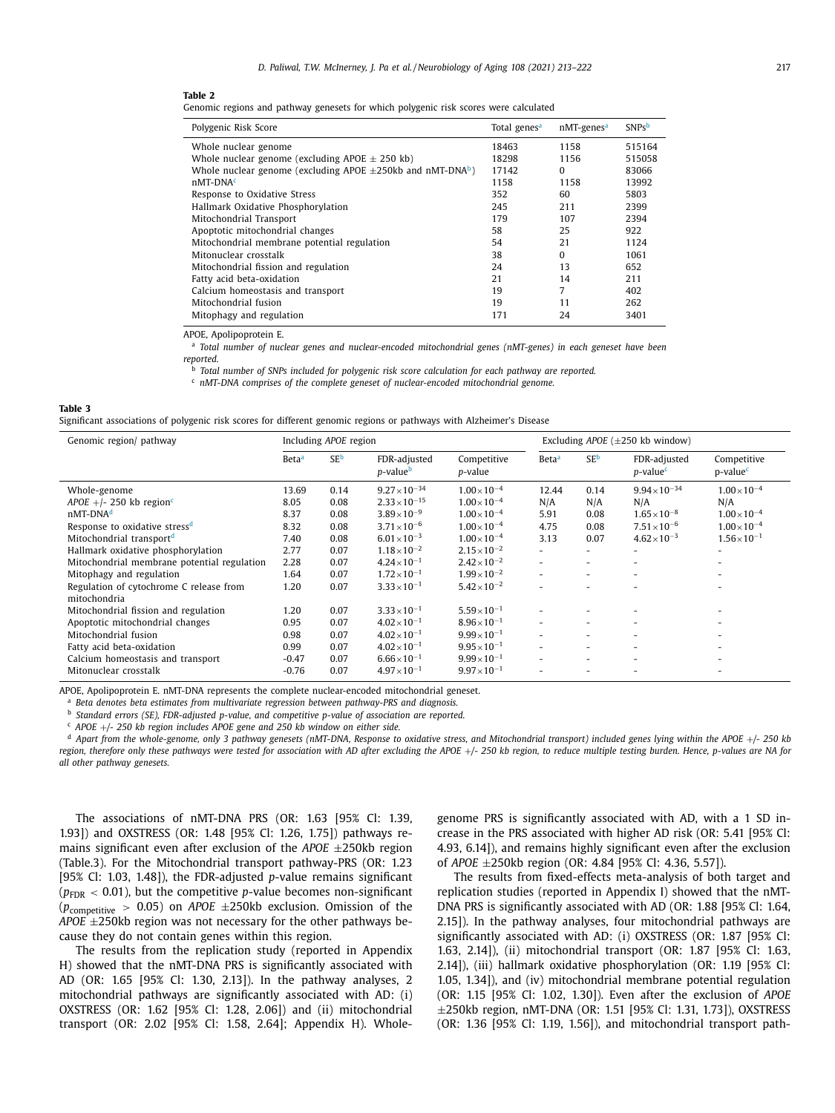#### <span id="page-4-0"></span>**Table 2**

Genomic regions and pathway genesets for which polygenic risk scores were calculated

| Polygenic Risk Score                                                        | Total genes <sup>a</sup> | nMT-genes <sup>a</sup> | $SNPs^b$ |
|-----------------------------------------------------------------------------|--------------------------|------------------------|----------|
| Whole nuclear genome                                                        | 18463                    | 1158                   | 515164   |
| Whole nuclear genome (excluding APOE $\pm$ 250 kb)                          | 18298                    | 1156                   | 515058   |
| Whole nuclear genome (excluding APOE $\pm$ 250kb and nMT-DNA <sup>b</sup> ) | 17142                    | $\Omega$               | 83066    |
| nMT-DNA <sup>c</sup>                                                        | 1158                     | 1158                   | 13992    |
| Response to Oxidative Stress                                                | 352                      | 60                     | 5803     |
| Hallmark Oxidative Phosphorylation                                          | 245                      | 211                    | 2399     |
| Mitochondrial Transport                                                     | 179                      | 107                    | 2394     |
| Apoptotic mitochondrial changes                                             | 58                       | 25                     | 922      |
| Mitochondrial membrane potential regulation                                 | 54                       | 21                     | 1124     |
| Mitonuclear crosstalk                                                       | 38                       | $\Omega$               | 1061     |
| Mitochondrial fission and regulation                                        | 24                       | 13                     | 652      |
| Fatty acid beta-oxidation                                                   | 21                       | 14                     | 211      |
| Calcium homeostasis and transport                                           | 19                       | 7                      | 402      |
| Mitochondrial fusion                                                        | 19                       | 11                     | 262      |
| Mitophagy and regulation                                                    | 171                      | 24                     | 3401     |

APOE, Apolipoprotein E.

<sup>a</sup> *Total number of nuclear genes and nuclear-encoded mitochondrial genes (nMT-genes) in each geneset have been reported.*

<sup>b</sup> *Total number of SNPs included for polygenic risk score calculation for each pathway are reported.*

<sup>c</sup> *nMT-DNA comprises of the complete geneset of nuclear-encoded mitochondrial genome.*

#### **Table 3**

Significant associations of polygenic risk scores for different genomic regions or pathways with Alzheimer's Disease

| Genomic region/ pathway                                 | Including APOE region    |                 |                                              |                                | Excluding APOE $(\pm 250 \text{ kb window})$ |                          |                                         |                                     |
|---------------------------------------------------------|--------------------------|-----------------|----------------------------------------------|--------------------------------|----------------------------------------------|--------------------------|-----------------------------------------|-------------------------------------|
|                                                         | <b>Beta</b> <sup>a</sup> | SE <sup>b</sup> | FDR-adjusted<br><i>p</i> -value <sup>b</sup> | Competitive<br><i>p</i> -value | <b>Beta</b> <sup>a</sup>                     | SE <sup>b</sup>          | FDR-adjusted<br>$p$ -value <sup>c</sup> | Competitive<br>p-value <sup>c</sup> |
| Whole-genome                                            | 13.69                    | 0.14            | $9.27 \times 10^{-34}$                       | $1.00\times10^{-4}$            | 12.44                                        | 0.14                     | $9.94\times10^{-34}$                    | $1.00\times10^{-4}$                 |
| APOE +/- 250 kb region <sup>c</sup>                     | 8.05                     | 0.08            | $2.33 \times 10^{-15}$                       | $1.00\times10^{-4}$            | N/A                                          | N/A                      | N/A                                     | N/A                                 |
| nMT-DNA <sup>d</sup>                                    | 8.37                     | 0.08            | $3.89\times10^{-9}$                          | $1.00 \times 10^{-4}$          | 5.91                                         | 0.08                     | $1.65\times10^{-8}$                     | $1.00\times10^{-4}$                 |
| Response to oxidative stress <sup>d</sup>               | 8.32                     | 0.08            | $3.71\times10^{-6}$                          | $1.00\times10^{-4}$            | 4.75                                         | 0.08                     | $7.51\times10^{-6}$                     | $1.00\times10^{-4}$                 |
| Mitochondrial transport <sup>d</sup>                    | 7.40                     | 0.08            | $6.01 \times 10^{-3}$                        | $1.00 \times 10^{-4}$          | 3.13                                         | 0.07                     | $4.62\times10^{-3}$                     | $1.56\times10^{-1}$                 |
| Hallmark oxidative phosphorylation                      | 2.77                     | 0.07            | $1.18\times10^{-2}$                          | $2.15 \times 10^{-2}$          | $\sim$                                       |                          |                                         | $\overline{\phantom{a}}$            |
| Mitochondrial membrane potential regulation             | 2.28                     | 0.07            | $4.24 \times 10^{-1}$                        | $2.42 \times 10^{-2}$          | Ξ.                                           | $\overline{\phantom{a}}$ |                                         | $\overline{\phantom{0}}$            |
| Mitophagy and regulation                                | 1.64                     | 0.07            | $1.72 \times 10^{-1}$                        | $1.99 \times 10^{-2}$          | $\overline{a}$                               | $\overline{\phantom{a}}$ |                                         | $\overline{\phantom{0}}$            |
| Regulation of cytochrome C release from<br>mitochondria | 1.20                     | 0.07            | $3.33 \times 10^{-1}$                        | $5.42 \times 10^{-2}$          | $\overline{\phantom{0}}$                     |                          |                                         | $\overline{\phantom{0}}$            |
| Mitochondrial fission and regulation                    | 1.20                     | 0.07            | $3.33 \times 10^{-1}$                        | $5.59\times10^{-1}$            |                                              |                          |                                         |                                     |
| Apoptotic mitochondrial changes                         | 0.95                     | 0.07            | $4.02\times10^{-1}$                          | $8.96 \times 10^{-1}$          | ۰                                            | $\overline{\phantom{a}}$ |                                         | $\overline{\phantom{0}}$            |
| Mitochondrial fusion                                    | 0.98                     | 0.07            | $4.02 \times 10^{-1}$                        | $9.99 \times 10^{-1}$          | ۰                                            | $\overline{\phantom{0}}$ |                                         |                                     |
| Fatty acid beta-oxidation                               | 0.99                     | 0.07            | $4.02\times10^{-1}$                          | $9.95 \times 10^{-1}$          | $\overline{\phantom{0}}$                     | $\overline{\phantom{a}}$ | $\overline{\phantom{0}}$                | $\overline{\phantom{0}}$            |
| Calcium homeostasis and transport                       | $-0.47$                  | 0.07            | $6.66\times10^{-1}$                          | $9.99 \times 10^{-1}$          | ۰                                            | $\overline{\phantom{a}}$ | -                                       | $\overline{\phantom{a}}$            |
| Mitonuclear crosstalk                                   | $-0.76$                  | 0.07            | $4.97 \times 10^{-1}$                        | $9.97 \times 10^{-1}$          | $\overline{\phantom{0}}$                     |                          |                                         |                                     |

APOE, Apolipoprotein E. nMT-DNA represents the complete nuclear-encoded mitochondrial geneset.

<sup>a</sup> *Beta denotes beta estimates from multivariate regression between pathway-PRS and diagnosis.*

<sup>b</sup> *Standard errors (SE), FDR-adjusted p-value, and competitive p-value of association are reported.*

 $\alpha$  APOE +/- 250 kb region includes APOE gene and 250 kb window on either side.<br><sup>d</sup> Apart from the whole-genome, only 3 pathway genesets (nMT-DNA, Response to oxidative stress, and Mitochondrial transport) included genes region, therefore only these pathways were tested for association with AD after excluding the APOE +/- 250 kb region, to reduce multiple testing burden. Hence, p-values are NA for *all other pathway genesets.*

The associations of nMT-DNA PRS (OR: 1.63 [95% Cl: 1.39, 1.93]) and OXSTRESS (OR: 1.48 [95% Cl: 1.26, 1.75]) pathways remains significant even after exclusion of the *APOE* ±250kb region (Table.3). For the Mitochondrial transport pathway-PRS (OR: 1.23 [95% Cl: 1.03, 1.48]), the FDR-adjusted *p*-value remains significant  $(p_{\text{FDR}} < 0.01)$ , but the competitive *p*-value becomes non-significant (*p*competitive > 0.05) on *APOE* ±250kb exclusion. Omission of the *APOE* ±250kb region was not necessary for the other pathways because they do not contain genes within this region.

The results from the replication study (reported in Appendix H) showed that the nMT-DNA PRS is significantly associated with AD (OR: 1.65 [95% Cl: 1.30, 2.13]). In the pathway analyses, 2 mitochondrial pathways are significantly associated with AD: (i) OXSTRESS (OR: 1.62 [95% Cl: 1.28, 2.06]) and (ii) mitochondrial transport (OR: 2.02 [95% Cl: 1.58, 2.64]; Appendix H). Wholegenome PRS is significantly associated with AD, with a 1 SD increase in the PRS associated with higher AD risk (OR: 5.41 [95% Cl: 4.93, 6.14]), and remains highly significant even after the exclusion of *APOE* ±250kb region (OR: 4.84 [95% Cl: 4.36, 5.57]).

The results from fixed-effects meta-analysis of both target and replication studies (reported in Appendix I) showed that the nMT-DNA PRS is significantly associated with AD (OR: 1.88 [95% Cl: 1.64, 2.15]). In the pathway analyses, four mitochondrial pathways are significantly associated with AD: (i) OXSTRESS (OR: 1.87 [95% Cl: 1.63, 2.14]), (ii) mitochondrial transport (OR: 1.87 [95% Cl: 1.63, 2.14]), (iii) hallmark oxidative phosphorylation (OR: 1.19 [95% Cl: 1.05, 1.34]), and (iv) mitochondrial membrane potential regulation (OR: 1.15 [95% Cl: 1.02, 1.30]). Even after the exclusion of *APOE* ±250kb region, nMT-DNA (OR: 1.51 [95% Cl: 1.31, 1.73]), OXSTRESS (OR: 1.36 [95% Cl: 1.19, 1.56]), and mitochondrial transport path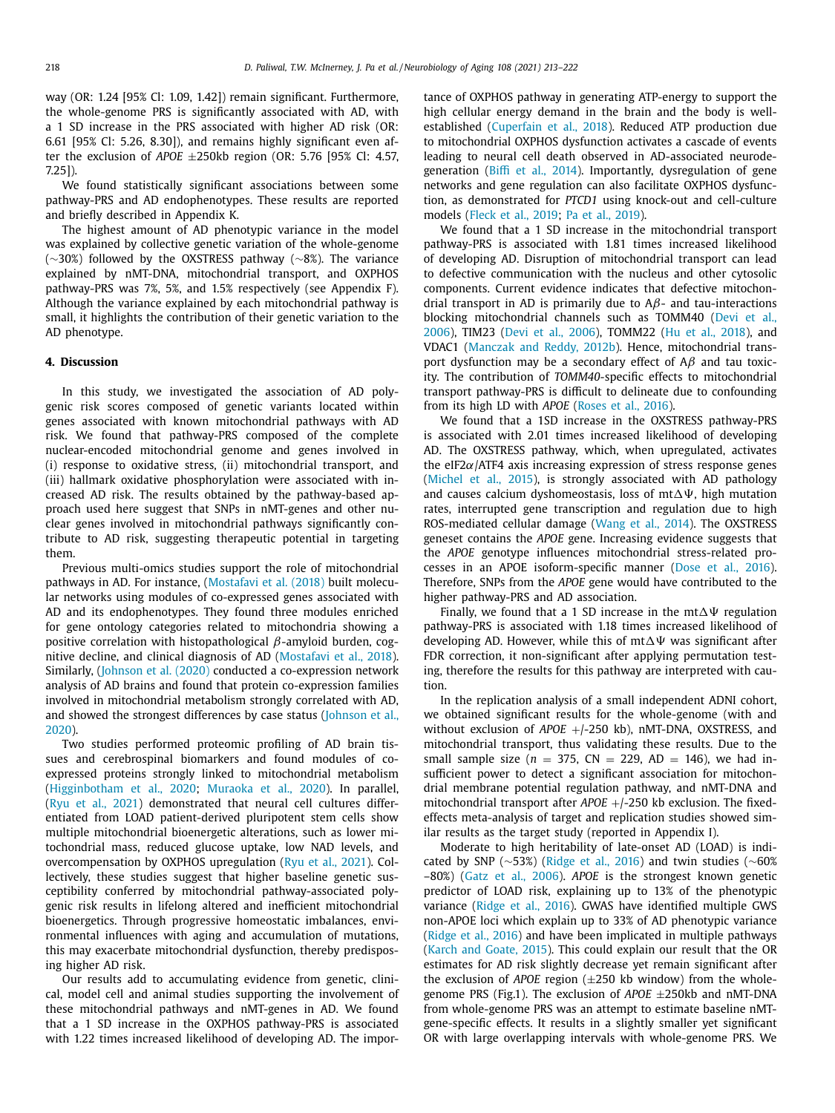way (OR: 1.24 [95% Cl: 1.09, 1.42]) remain significant. Furthermore, the whole-genome PRS is significantly associated with AD, with a 1 SD increase in the PRS associated with higher AD risk (OR: 6.61 [95% Cl: 5.26, 8.30]), and remains highly significant even after the exclusion of *APOE* ±250kb region (OR: 5.76 [95% Cl: 4.57, 7.25]).

We found statistically significant associations between some pathway-PRS and AD endophenotypes. These results are reported and briefly described in Appendix K.

The highest amount of AD phenotypic variance in the model was explained by collective genetic variation of the whole-genome (∼30%) followed by the OXSTRESS pathway (∼8%). The variance explained by nMT-DNA, mitochondrial transport, and OXPHOS pathway-PRS was 7%, 5%, and 1.5% respectively (see Appendix F). Although the variance explained by each mitochondrial pathway is small, it highlights the contribution of their genetic variation to the AD phenotype.

#### **4. Discussion**

In this study, we investigated the association of AD polygenic risk scores composed of genetic variants located within genes associated with known mitochondrial pathways with AD risk. We found that pathway-PRS composed of the complete nuclear-encoded mitochondrial genome and genes involved in (i) response to oxidative stress, (ii) mitochondrial transport, and (iii) hallmark oxidative phosphorylation were associated with increased AD risk. The results obtained by the pathway-based approach used here suggest that SNPs in nMT-genes and other nuclear genes involved in mitochondrial pathways significantly contribute to AD risk, suggesting therapeutic potential in targeting them.

Previous multi-omics studies support the role of mitochondrial pathways in AD. For instance, [\(Mostafavi](#page-8-0) et al. (2018) built molecular networks using modules of co-expressed genes associated with AD and its endophenotypes. They found three modules enriched for gene ontology categories related to mitochondria showing a positive correlation with histopathological  $\beta$ -amyloid burden, cognitive decline, and clinical diagnosis of AD [\(Mostafavi](#page-8-0) et al., 2018). Similarly, [\(Johnson](#page-7-0) et al. (2020) conducted a co-expression network analysis of AD brains and found that protein co-expression families involved in mitochondrial metabolism strongly correlated with AD, and showed the strongest [differences](#page-7-0) by case status (Johnson et al., 2020).

Two studies performed proteomic profiling of AD brain tissues and cerebrospinal biomarkers and found modules of coexpressed proteins strongly linked to mitochondrial metabolism [\(Higginbotham](#page-7-0) et al., 2020; [Muraoka](#page-8-0) et al., 2020). In parallel, (Ryu et al., [2021\)](#page-8-0) demonstrated that neural cell cultures differentiated from LOAD patient-derived pluripotent stem cells show multiple mitochondrial bioenergetic alterations, such as lower mitochondrial mass, reduced glucose uptake, low NAD levels, and overcompensation by OXPHOS upregulation (Ryu et al., [2021\)](#page-8-0). Collectively, these studies suggest that higher baseline genetic susceptibility conferred by mitochondrial pathway-associated polygenic risk results in lifelong altered and inefficient mitochondrial bioenergetics. Through progressive homeostatic imbalances, environmental influences with aging and accumulation of mutations, this may exacerbate mitochondrial dysfunction, thereby predisposing higher AD risk.

Our results add to accumulating evidence from genetic, clinical, model cell and animal studies supporting the involvement of these mitochondrial pathways and nMT-genes in AD. We found that a 1 SD increase in the OXPHOS pathway-PRS is associated with 1.22 times increased likelihood of developing AD. The importance of OXPHOS pathway in generating ATP-energy to support the high cellular energy demand in the brain and the body is wellestablished [\(Cuperfain](#page-7-0) et al., 2018). Reduced ATP production due to mitochondrial OXPHOS dysfunction activates a cascade of events leading to neural cell death observed in AD-associated neurodegeneration [\(Biffi et](#page-7-0) al., 2014). Importantly, dysregulation of gene networks and gene regulation can also facilitate OXPHOS dysfunction, as demonstrated for *PTCD1* using knock-out and cell-culture models [\(Fleck](#page-7-0) et al., 2019; Pa et al., [2019\)](#page-8-0).

We found that a 1 SD increase in the mitochondrial transport pathway-PRS is associated with 1.81 times increased likelihood of developing AD. Disruption of mitochondrial transport can lead to defective communication with the nucleus and other cytosolic components. Current evidence indicates that defective mitochondrial transport in AD is primarily due to  $A\beta$ - and tau-interactions blocking [mitochondrial](#page-7-0) channels such as TOMM40 (Devi et al., 2006), TIM23 (Devi et al., [2006\)](#page-7-0), TOMM22 (Hu et al., [2018\)](#page-7-0), and VDAC1 [\(Manczak](#page-8-0) and Reddy, 2012b). Hence, mitochondrial transport dysfunction may be a secondary effect of  $A\beta$  and tau toxicity. The contribution of *TOMM40-*specific effects to mitochondrial transport pathway-PRS is difficult to delineate due to confounding from its high LD with *APOE* [\(Roses](#page-8-0) et al., 2016).

We found that a 1SD increase in the OXSTRESS pathway-PRS is associated with 2.01 times increased likelihood of developing AD. The OXSTRESS pathway, which, when upregulated, activates the eIF2 $\alpha$ /ATF4 axis increasing expression of stress response genes [\(Michel](#page-8-0) et al., 2015), is strongly associated with AD pathology and causes calcium dyshomeostasis, loss of  $mt\Delta\Psi$ , high mutation rates, interrupted gene transcription and regulation due to high ROS-mediated cellular damage [\(Wang](#page-9-0) et al., 2014). The OXSTRESS geneset contains the *APOE* gene. Increasing evidence suggests that the *APOE* genotype influences mitochondrial stress-related processes in an APOE isoform-specific manner [\(Dose](#page-7-0) et al., 2016). Therefore, SNPs from the *APOE* gene would have contributed to the higher pathway-PRS and AD association.

Finally, we found that a 1 SD increase in the  $mt\Delta\Psi$  regulation pathway-PRS is associated with 1.18 times increased likelihood of developing AD. However, while this of  $mt\Delta\Psi$  was significant after FDR correction, it non-significant after applying permutation testing, therefore the results for this pathway are interpreted with caution.

In the replication analysis of a small independent ADNI cohort, we obtained significant results for the whole-genome (with and without exclusion of *APOE* +/-250 kb), nMT-DNA, OXSTRESS, and mitochondrial transport, thus validating these results. Due to the small sample size ( $n = 375$ , CN = 229, AD = 146), we had insufficient power to detect a significant association for mitochondrial membrane potential regulation pathway, and nMT-DNA and mitochondrial transport after *APOE* +/-250 kb exclusion. The fixedeffects meta-analysis of target and replication studies showed similar results as the target study (reported in Appendix I).

Moderate to high heritability of late-onset AD (LOAD) is indicated by SNP (∼53%) [\(Ridge](#page-8-0) et al., 2016) and twin studies (∼60% –80%) (Gatz et al., [2006\)](#page-7-0). *APOE* is the strongest known genetic predictor of LOAD risk, explaining up to 13% of the phenotypic variance [\(Ridge](#page-8-0) et al., 2016). GWAS have identified multiple GWS non-APOE loci which explain up to 33% of AD phenotypic variance [\(Ridge](#page-8-0) et al., 2016) and have been implicated in multiple pathways (Karch and [Goate,](#page-7-0) 2015). This could explain our result that the OR estimates for AD risk slightly decrease yet remain significant after the exclusion of *APOE* region  $(\pm 250 \text{ kb}$  window) from the wholegenome PRS (Fig.1). The exclusion of *APOE* ±250kb and nMT-DNA from whole-genome PRS was an attempt to estimate baseline nMTgene-specific effects. It results in a slightly smaller yet significant OR with large overlapping intervals with whole-genome PRS. We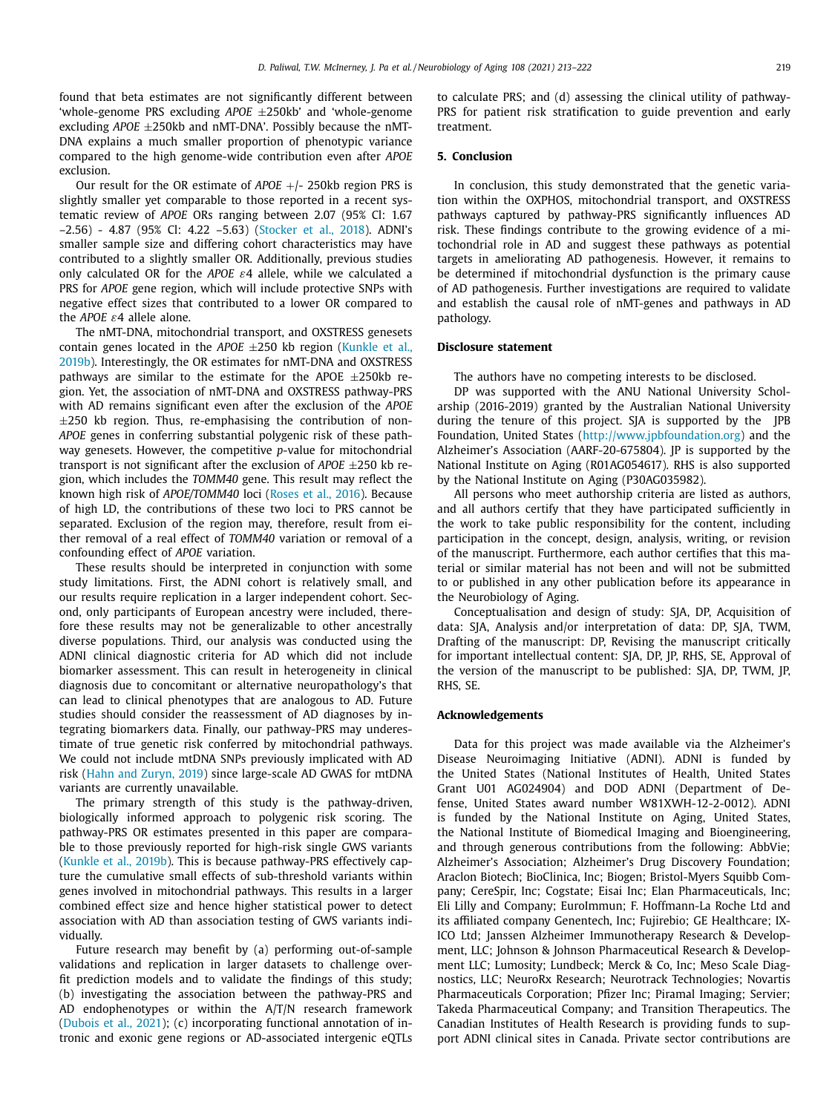found that beta estimates are not significantly different between 'whole-genome PRS excluding *APOE* ±250kb' and 'whole-genome excluding *APOE* ±250kb and nMT-DNA'. Possibly because the nMT-DNA explains a much smaller proportion of phenotypic variance compared to the high genome-wide contribution even after *APOE* exclusion.

Our result for the OR estimate of *APOE* +/- 250kb region PRS is slightly smaller yet comparable to those reported in a recent systematic review of *APOE* ORs ranging between 2.07 (95% Cl: 1.67 –2.56) - 4.87 (95% Cl: 4.22 –5.63) [\(Stocker](#page-8-0) et al., 2018). ADNI's smaller sample size and differing cohort characteristics may have contributed to a slightly smaller OR. Additionally, previous studies only calculated OR for the *APOE* ε4 allele, while we calculated a PRS for *APOE* gene region, which will include protective SNPs with negative effect sizes that contributed to a lower OR compared to the *APOE* ε4 allele alone.

The nMT-DNA, mitochondrial transport, and OXSTRESS genesets contain genes located in the *APOE*  $\pm 250$  kb region (Kunkle et al., 2019b). [Interestingly,](#page-8-0) the OR estimates for nMT-DNA and OXSTRESS pathways are similar to the estimate for the APOE  $\pm$ 250kb region. Yet, the association of nMT-DNA and OXSTRESS pathway-PRS with AD remains significant even after the exclusion of the *APOE*  $\pm 250$  kb region. Thus, re-emphasising the contribution of non-*APOE* genes in conferring substantial polygenic risk of these pathway genesets. However, the competitive *p*-value for mitochondrial transport is not significant after the exclusion of *APOE* ±250 kb region, which includes the *TOMM40* gene. This result may reflect the known high risk of *APOE/TOMM40* loci [\(Roses](#page-8-0) et al., 2016). Because of high LD, the contributions of these two loci to PRS cannot be separated. Exclusion of the region may, therefore, result from either removal of a real effect of *TOMM40* variation or removal of a confounding effect of *APOE* variation.

These results should be interpreted in conjunction with some study limitations. First, the ADNI cohort is relatively small, and our results require replication in a larger independent cohort. Second, only participants of European ancestry were included, therefore these results may not be generalizable to other ancestrally diverse populations. Third, our analysis was conducted using the ADNI clinical diagnostic criteria for AD which did not include biomarker assessment. This can result in heterogeneity in clinical diagnosis due to concomitant or alternative neuropathology's that can lead to clinical phenotypes that are analogous to AD. Future studies should consider the reassessment of AD diagnoses by integrating biomarkers data. Finally, our pathway-PRS may underestimate of true genetic risk conferred by mitochondrial pathways. We could not include mtDNA SNPs previously implicated with AD risk (Hahn and [Zuryn,](#page-7-0) 2019) since large-scale AD GWAS for mtDNA variants are currently unavailable.

The primary strength of this study is the pathway-driven, biologically informed approach to polygenic risk scoring. The pathway-PRS OR estimates presented in this paper are comparable to those previously reported for high-risk single GWS variants [\(Kunkle](#page-8-0) et al., 2019b). This is because pathway-PRS effectively capture the cumulative small effects of sub-threshold variants within genes involved in mitochondrial pathways. This results in a larger combined effect size and hence higher statistical power to detect association with AD than association testing of GWS variants individually.

Future research may benefit by (a) performing out-of-sample validations and replication in larger datasets to challenge overfit prediction models and to validate the findings of this study; (b) investigating the association between the pathway-PRS and AD endophenotypes or within the A/T/N research framework [\(Dubois](#page-7-0) et al., 2021); (c) incorporating functional annotation of intronic and exonic gene regions or AD-associated intergenic eQTLs to calculate PRS; and (d) assessing the clinical utility of pathway-PRS for patient risk stratification to guide prevention and early treatment.

## **5. Conclusion**

In conclusion, this study demonstrated that the genetic variation within the OXPHOS, mitochondrial transport, and OXSTRESS pathways captured by pathway-PRS significantly influences AD risk. These findings contribute to the growing evidence of a mitochondrial role in AD and suggest these pathways as potential targets in ameliorating AD pathogenesis. However, it remains to be determined if mitochondrial dysfunction is the primary cause of AD pathogenesis. Further investigations are required to validate and establish the causal role of nMT-genes and pathways in AD pathology.

#### **Disclosure statement**

The authors have no competing interests to be disclosed.

DP was supported with the ANU National University Scholarship (2016-2019) granted by the Australian National University during the tenure of this project. SJA is supported by the JPB Foundation, United States [\(http://www.jpbfoundation.org\)](http://www.jpbfoundation.org) and the Alzheimer's Association (AARF-20-675804). JP is supported by the National Institute on Aging (R01AG054617). RHS is also supported by the National Institute on Aging (P30AG035982).

All persons who meet authorship criteria are listed as authors, and all authors certify that they have participated sufficiently in the work to take public responsibility for the content, including participation in the concept, design, analysis, writing, or revision of the manuscript. Furthermore, each author certifies that this material or similar material has not been and will not be submitted to or published in any other publication before its appearance in the Neurobiology of Aging.

Conceptualisation and design of study: SJA, DP, Acquisition of data: SJA, Analysis and/or interpretation of data: DP, SJA, TWM, Drafting of the manuscript: DP, Revising the manuscript critically for important intellectual content: SJA, DP, JP, RHS, SE, Approval of the version of the manuscript to be published: SJA, DP, TWM, JP, RHS, SE.

#### **Acknowledgements**

Data for this project was made available via the Alzheimer's Disease Neuroimaging Initiative (ADNI). ADNI is funded by the United States (National Institutes of Health, United States Grant U01 AG024904) and DOD ADNI (Department of Defense, United States award number W81XWH-12-2-0012). ADNI is funded by the National Institute on Aging, United States, the National Institute of Biomedical Imaging and Bioengineering, and through generous contributions from the following: AbbVie; Alzheimer's Association; Alzheimer's Drug Discovery Foundation; Araclon Biotech; BioClinica, Inc; Biogen; Bristol-Myers Squibb Company; CereSpir, Inc; Cogstate; Eisai Inc; Elan Pharmaceuticals, Inc; Eli Lilly and Company; EuroImmun; F. Hoffmann-La Roche Ltd and its affiliated company Genentech, Inc; Fujirebio; GE Healthcare; IX-ICO Ltd; Janssen Alzheimer Immunotherapy Research & Development, LLC; Johnson & Johnson Pharmaceutical Research & Development LLC; Lumosity; Lundbeck; Merck & Co, Inc; Meso Scale Diagnostics, LLC; NeuroRx Research; Neurotrack Technologies; Novartis Pharmaceuticals Corporation; Pfizer Inc; Piramal Imaging; Servier; Takeda Pharmaceutical Company; and Transition Therapeutics. The Canadian Institutes of Health Research is providing funds to support ADNI clinical sites in Canada. Private sector contributions are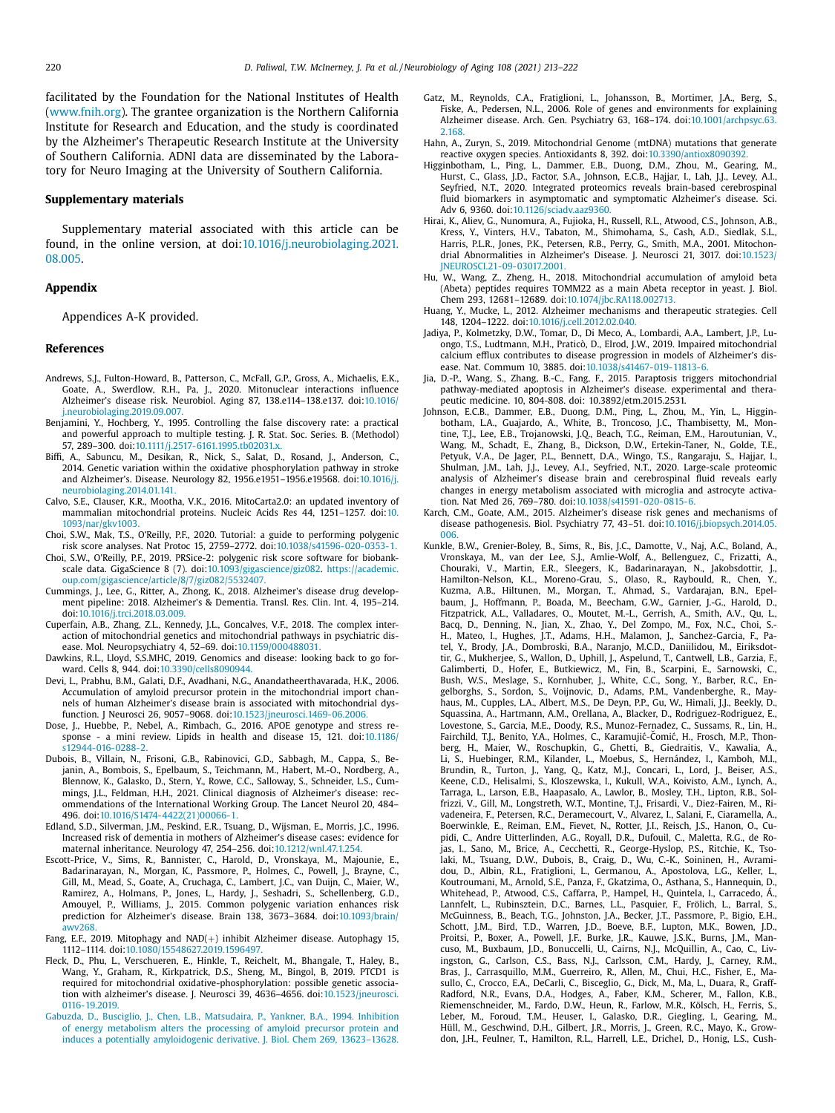<span id="page-7-0"></span>facilitated by the Foundation for the National Institutes of Health [\(www.fnih.org\)](http://www.fnih.org). The grantee organization is the Northern California Institute for Research and Education, and the study is coordinated by the Alzheimer's Therapeutic Research Institute at the University of Southern California. ADNI data are disseminated by the Laboratory for Neuro Imaging at the University of Southern California.

### **Supplementary materials**

Supplementary material associated with this article can be found, in the online version, at [doi:10.1016/j.neurobiolaging.2021.](https://doi.org/10.1016/j.neurobiolaging.2021.08.005) 08.005.

## **Appendix**

Appendices A-K provided.

#### **References**

- Andrews, S.J., Fulton-Howard, B., Patterson, C., McFall, G.P., Gross, A., Michaelis, E.K., Goate, A., Swerdlow, R.H., Pa, J., 2020. Mitonuclear interactions influence Alzheimer's disease risk. Neurobiol. Aging 87, 138.e114–138.e137. doi:10.1016/ [j.neurobiolaging.2019.09.007.](https://doi.org/10.1016/j.neurobiolaging.2019.09.007)
- Benjamini, Y., Hochberg, Y., 1995. Controlling the false discovery rate: a practical and powerful approach to multiple testing. J. R. Stat. Soc. Series. B. (Methodol) 57, 289–300. doi[:10.1111/j.2517-6161.1995.tb02031.x.](https://doi.org/10.1111/j.2517-6161.1995.tb02031.x)
- Biffi, A., Sabuncu, M., Desikan, R., Nick, S., Salat, D., Rosand, J., Anderson, C., 2014. Genetic variation within the oxidative phosphorylation pathway in stroke and Alzheimer's. Disease. Neurology 82, 1956.e1951–1956.e19568. doi:10.1016/j. [neurobiolaging.2014.01.141.](https://doi.org/10.1016/j.neurobiolaging.2014.01.141)
- Calvo, S.E., Clauser, K.R., Mootha, V.K., 2016. MitoCarta2.0: an updated inventory of mammalian mitochondrial proteins. Nucleic Acids Res 44, 1251–1257. doi:10. [1093/nar/gkv1003.](https://doi.org/10.1093/nar/gkv1003)
- Choi, S.W., Mak, T.S., O'Reilly, P.F., 2020. Tutorial: a guide to performing polygenic risk score analyses. Nat Protoc 15, 2759–2772. doi[:10.1038/s41596-020-0353-1.](https://doi.org/10.1038/s41596-020-0353-1)
- Choi, S.W., O'Reilly, P.F., 2019. PRSice-2: polygenic risk score software for biobankscale data. GigaScience 8 (7). doi[:10.1093/gigascience/giz082.](https://doi.org/10.1093/gigascience/giz082) https://academic. [oup.com/gigascience/article/8/7/giz082/5532407.](https://academic.oup.com/gigascience/article/8/7/giz082/5532407) Cummings, J., Lee, G., Ritter, A., Zhong, K., 2018. Alzheimer's disease drug develop-
- ment pipeline: 2018. Alzheimer's & Dementia. Transl. Res. Clin. Int. 4, 195–214. doi[:10.1016/j.trci.2018.03.009.](https://doi.org/10.1016/j.trci.2018.03.009)
- Cuperfain, A.B., Zhang, Z.L., Kennedy, J.L., Goncalves, V.F., 2018. The complex interaction of mitochondrial genetics and mitochondrial pathways in psychiatric disease. Mol. Neuropsychiatry 4, 52–69. doi[:10.1159/000488031.](https://doi.org/10.1159/000488031)
- Dawkins, R.L., Lloyd, S.S.MHC, 2019. Genomics and disease: looking back to go forward. Cells 8, 944. doi[:10.3390/cells8090944.](https://doi.org/10.3390/cells8090944)
- Devi, L., Prabhu, B.M., Galati, D.F., Avadhani, N.G., Anandatheerthavarada, H.K., 2006. Accumulation of amyloid precursor protein in the mitochondrial import channels of human Alzheimer's disease brain is associated with mitochondrial dysfunction. J Neurosci 26, 9057–9068. doi[:10.1523/jneurosci.1469-06.2006.](https://doi.org/10.1523/jneurosci.1469-06.2006)
- Dose, J., Huebbe, P., Nebel, A., Rimbach, G., 2016. APOE genotype and stress response - a mini review. Lipids in health and disease 15, 121. doi:10.1186/ [s12944-016-0288-2.](https://doi.org/10.1186/s12944-016-0288-2)
- Dubois, B., Villain, N., Frisoni, G.B., Rabinovici, G.D., Sabbagh, M., Cappa, S., Bejanin, A., Bombois, S., Epelbaum, S., Teichmann, M., Habert, M.-O., Nordberg, A., Blennow, K., Galasko, D., Stern, Y., Rowe, C.C., Salloway, S., Schneider, L.S., Cummings, J.L., Feldman, H.H., 2021. Clinical diagnosis of Alzheimer's disease: recommendations of the International Working Group. The Lancet Neurol 20, 484– 496. doi[:10.1016/S1474-4422\(21\)00066-1.](https://doi.org/10.1016/S1474-4422(21)00066-1)
- Edland, S.D., Silverman, J.M., Peskind, E.R., Tsuang, D., Wijsman, E., Morris, J.C., 1996. Increased risk of dementia in mothers of Alzheimer's disease cases: evidence for maternal inheritance. Neurology 47, 254–256. doi[:10.1212/wnl.47.1.254.](https://doi.org/10.1212/wnl.47.1.254)
- Escott-Price, V., Sims, R., Bannister, C., Harold, D., Vronskaya, M., Majounie, E., Badarinarayan, N., Morgan, K., Passmore, P., Holmes, C., Powell, J., Brayne, C., Gill, M., Mead, S., Goate, A., Cruchaga, C., Lambert, J.C., van Duijn, C., Maier, W., Ramirez, A., Holmans, P., Jones, L., Hardy, J., Seshadri, S., Schellenberg, G.D., Amouyel, P., Williams, J., 2015. Common polygenic variation enhances risk prediction for Alzheimer's disease. Brain 138, 3673–3684. [doi:10.1093/brain/](https://doi.org/10.1093/brain/awv268) awv268.
- Fang, E.F., 2019. Mitophagy and NAD(+) inhibit Alzheimer disease. Autophagy 15, 1112–1114. doi[:10.1080/15548627.2019.1596497.](https://doi.org/10.1080/15548627.2019.1596497)
- Fleck, D., Phu, L., Verschueren, E., Hinkle, T., Reichelt, M., Bhangale, T., Haley, B., Wang, Y., Graham, R., Kirkpatrick, D.S., Sheng, M., Bingol, B, 2019. PTCD1 is required for mitochondrial oxidative-phosphorylation: possible genetic association with alzheimer's disease. J. Neurosci 39, 4636–4656. [doi:10.1523/jneurosci.](https://doi.org/10.1523/jneurosci.0116-19.2019) 0116-19.2019.
- [Gabuzda,](http://refhub.elsevier.com/S0197-4580(21)00259-1/sbref0017) D., [Busciglio,](http://refhub.elsevier.com/S0197-4580(21)00259-1/sbref0017) J., [Chen,](http://refhub.elsevier.com/S0197-4580(21)00259-1/sbref0017) L.B., [Matsudaira,](http://refhub.elsevier.com/S0197-4580(21)00259-1/sbref0017) P., [Yankner,](http://refhub.elsevier.com/S0197-4580(21)00259-1/sbref0017) B.A., 1994. Inhibition of energy metabolism alters the processing of amyloid precursor protein and induces a potentially [amyloidogenic](http://refhub.elsevier.com/S0197-4580(21)00259-1/sbref0017) derivative. J. Biol. Chem 269, 13623–13628.
- Gatz, M., Reynolds, C.A., Fratiglioni, L., Johansson, B., Mortimer, J.A., Berg, S., Fiske, A., Pedersen, N.L., 2006. Role of genes and environments for explaining Alzheimer disease. Arch. Gen. Psychiatry 63, 168–174. [doi:10.1001/archpsyc.63.](https://doi.org/10.1001/archpsyc.63.2.168) 2.168.
- Hahn, A., Zuryn, S., 2019. Mitochondrial Genome (mtDNA) mutations that generate reactive oxygen species. Antioxidants 8, 392. doi[:10.3390/antiox8090392.](https://doi.org/10.3390/antiox8090392)
- Higginbotham, L., Ping, L., Dammer, E.B., Duong, D.M., Zhou, M., Gearing, M., Hurst, C., Glass, J.D., Factor, S.A., Johnson, E.C.B., Hajjar, I., Lah, J.J., Levey, A.I., Seyfried, N.T., 2020. Integrated proteomics reveals brain-based cerebrospinal fluid biomarkers in asymptomatic and symptomatic Alzheimer's disease. Sci. Adv 6, 9360. doi[:10.1126/sciadv.aaz9360.](https://doi.org/10.1126/sciadv.aaz9360)
- Hirai, K., Aliev, G., Nunomura, A., Fujioka, H., Russell, R.L., Atwood, C.S., Johnson, A.B., Kress, Y., Vinters, H.V., Tabaton, M., Shimohama, S., Cash, A.D., Siedlak, S.L., Harris, P.L.R., Jones, P.K., Petersen, R.B., Perry, G., Smith, M.A., 2001. Mitochondrial Abnormalities in Alzheimer's Disease. J. Neurosci 21, 3017. doi:10.1523/ [JNEUROSCI.21-09-03017.2001.](https://doi.org/10.1523/JNEUROSCI.21-09-03017.2001)
- Hu, W., Wang, Z., Zheng, H., 2018. Mitochondrial accumulation of amyloid beta (Abeta) peptides requires TOMM22 as a main Abeta receptor in yeast. J. Biol. Chem 293, 12681–12689. doi[:10.1074/jbc.RA118.002713.](https://doi.org/10.1074/jbc.RA118.002713)
- Huang, Y., Mucke, L., 2012. Alzheimer mechanisms and therapeutic strategies. Cell 148, 1204–1222. doi[:10.1016/j.cell.2012.02.040.](https://doi.org/10.1016/j.cell.2012.02.040)
- Jadiya, P., Kolmetzky, D.W., Tomar, D., Di Meco, A., Lombardi, A.A., Lambert, J.P., Luongo, T.S., Ludtmann, M.H., Praticò, D., Elrod, J.W., 2019. Impaired mitochondrial calcium efflux contributes to disease progression in models of Alzheimer's disease. Nat. Commum 10, 3885. doi[:10.1038/s41467-019-11813-6.](https://doi.org/10.1038/s41467-019-11813-6)
- Jia, D.-P., Wang, S., Zhang, B.-C., Fang, F., 2015. Paraptosis triggers mitochondrial pathway-mediated apoptosis in Alzheimer's disease. experimental and therapeutic medicine. 10, 804-808. doi: 10.3892/etm.2015.2531.
- Johnson, E.C.B., Dammer, E.B., Duong, D.M., Ping, L., Zhou, M., Yin, L., Higginbotham, L.A., Guajardo, A., White, B., Troncoso, J.C., Thambisetty, M., Montine, T.J., Lee, E.B., Trojanowski, J.Q., Beach, T.G., Reiman, E.M., Haroutunian, V., Wang, M., Schadt, E., Zhang, B., Dickson, D.W., Ertekin-Taner, N., Golde, T.E., Petyuk, V.A., De Jager, P.L., Bennett, D.A., Wingo, T.S., Rangaraju, S., Hajjar, I., Shulman, J.M., Lah, J.J., Levey, A.I., Seyfried, N.T., 2020. Large-scale proteomic analysis of Alzheimer's disease brain and cerebrospinal fluid reveals early changes in energy metabolism associated with microglia and astrocyte activation. Nat Med 26, 769–780. doi[:10.1038/s41591-020-0815-6.](https://doi.org/10.1038/s41591-020-0815-6)
- Karch, C.M., Goate, A.M., 2015. Alzheimer's disease risk genes and mechanisms of disease pathogenesis. Biol. Psychiatry 77, 43–51. [doi:10.1016/j.biopsych.2014.05.](https://doi.org/10.1016/j.biopsych.2014.05.006) 006.
- Kunkle, B.W., Grenier-Boley, B., Sims, R., Bis, J.C., Damotte, V., Naj, A.C., Boland, A., Vronskaya, M., van der Lee, S.J., Amlie-Wolf, A., Bellenguez, C., Frizatti, A., Chouraki, V., Martin, E.R., Sleegers, K., Badarinarayan, N., Jakobsdottir, J., Hamilton-Nelson, K.L., Moreno-Grau, S., Olaso, R., Raybould, R., Chen, Y., Kuzma, A.B., Hiltunen, M., Morgan, T., Ahmad, S., Vardarajan, B.N., Epelbaum, J., Hoffmann, P., Boada, M., Beecham, G.W., Garnier, J.-G., Harold, D., Fitzpatrick, A.L., Valladares, O., Moutet, M.-L., Gerrish, A., Smith, A.V., Qu, L., Bacq, D., Denning, N., Jian, X., Zhao, Y., Del Zompo, M., Fox, N.C., Choi, S.- H., Mateo, I., Hughes, J.T., Adams, H.H., Malamon, J., Sanchez-Garcia, F., Patel, Y., Brody, J.A., Dombroski, B.A., Naranjo, M.C.D., Daniilidou, M., Eiriksdottir, G., Mukherjee, S., Wallon, D., Uphill, J., Aspelund, T., Cantwell, L.B., Garzia, F., Galimberti, D., Hofer, E., Butkiewicz, M., Fin, B., Scarpini, E., Sarnowski, C., Bush, W.S., Meslage, S., Kornhuber, J., White, C.C., Song, Y., Barber, R.C., Engelborghs, S., Sordon, S., Voijnovic, D., Adams, P.M., Vandenberghe, R., Mayhaus, M., Cupples, L.A., Albert, M.S., De Deyn, P.P., Gu, W., Himali, J.J., Beekly, D., Squassina, A., Hartmann, A.M., Orellana, A., Blacker, D., Rodriguez-Rodriguez, E., Lovestone, S., Garcia, M.E., Doody, R.S., Munoz-Fernadez, C., Sussams, R., Lin, H., Fairchild, T.J., Benito, Y.A., Holmes, C., Karamujić-Čomić, H., Frosch, M.P., Thonberg, H., Maier, W., Roschupkin, G., Ghetti, B., Giedraitis, V., Kawalia, A., Li, S., Huebinger, R.M., Kilander, L., Moebus, S., Hernández, I., Kamboh, M.I., Brundin, R., Turton, J., Yang, Q., Katz, M.J., Concari, L., Lord, J., Beiser, A.S., Keene, C.D., Helisalmi, S., Kloszewska, I., Kukull, W.A., Koivisto, A.M., Lynch, A., Tarraga, L., Larson, E.B., Haapasalo, A., Lawlor, B., Mosley, T.H., Lipton, R.B., Solfrizzi, V., Gill, M., Longstreth, W.T., Montine, T.J., Frisardi, V., Diez-Fairen, M., Rivadeneira, F., Petersen, R.C., Deramecourt, V., Alvarez, I., Salani, F., Ciaramella, A., Boerwinkle, E., Reiman, E.M., Fievet, N., Rotter, J.I., Reisch, J.S., Hanon, O., Cupidi, C., Andre Uitterlinden, A.G., Royall, D.R., Dufouil, C., Maletta, R.G., de Rojas, I., Sano, M., Brice, A., Cecchetti, R., George-Hyslop, P.S., Ritchie, K., Tsolaki, M., Tsuang, D.W., Dubois, B., Craig, D., Wu, C.-K., Soininen, H., Avramidou, D., Albin, R.L., Fratiglioni, L., Germanou, A., Apostolova, L.G., Keller, L., Koutroumani, M., Arnold, S.E., Panza, F., Gkatzima, O., Asthana, S., Hannequin, D., Whitehead, P., Atwood, C.S., Caffarra, P., Hampel, H., Quintela, I., Carracedo, Á., Lannfelt, L., Rubinsztein, D.C., Barnes, L.L., Pasquier, F., Frölich, L., Barral, S., McGuinness, B., Beach, T.G., Johnston, J.A., Becker, J.T., Passmore, P., Bigio, E.H., Schott, J.M., Bird, T.D., Warren, J.D., Boeve, B.F., Lupton, M.K., Bowen, J.D., Proitsi, P., Boxer, A., Powell, J.F., Burke, J.R., Kauwe, J.S.K., Burns, J.M., Mancuso, M., Buxbaum, J.D., Bonuccelli, U., Cairns, N.J., McQuillin, A., Cao, C., Livingston, G., Carlson, C.S., Bass, N.J., Carlsson, C.M., Hardy, J., Carney, R.M., Bras, J., Carrasquillo, M.M., Guerreiro, R., Allen, M., Chui, H.C., Fisher, E., Masullo, C., Crocco, E.A., DeCarli, C., Bisceglio, G., Dick, M., Ma, L., Duara, R., Graff-Radford, N.R., Evans, D.A., Hodges, A., Faber, K.M., Scherer, M., Fallon, K.B., Riemenschneider, M., Fardo, D.W., Heun, R., Farlow, M.R., Kölsch, H., Ferris, S., Leber, M., Foroud, T.M., Heuser, I., Galasko, D.R., Giegling, I., Gearing, M., Hüll, M., Geschwind, D.H., Gilbert, J.R., Morris, J., Green, R.C., Mayo, K., Growdon, J.H., Feulner, T., Hamilton, R.L., Harrell, L.E., Drichel, D., Honig, L.S., Cush-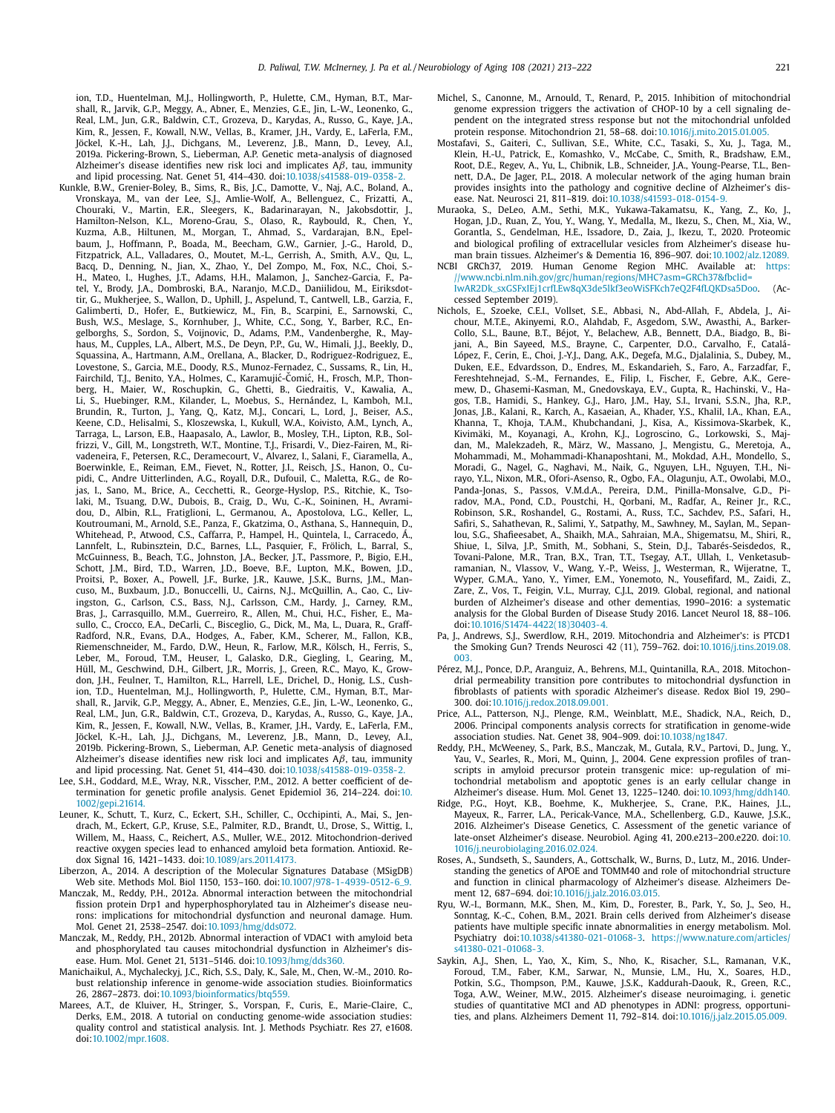<span id="page-8-0"></span>ion, T.D., Huentelman, M.J., Hollingworth, P., Hulette, C.M., Hyman, B.T., Marshall, R., Jarvik, G.P., Meggy, A., Abner, E., Menzies, G.E., Jin, L.-W., Leonenko, G., Real, L.M., Jun, G.R., Baldwin, C.T., Grozeva, D., Karydas, A., Russo, G., Kaye, J.A., Kim, R., Jessen, F., Kowall, N.W., Vellas, B., Kramer, J.H., Vardy, E., LaFerla, F.M., Jöckel, K.-H., Lah, J.J., Dichgans, M., Leverenz, J.B., Mann, D., Levey, A.I., 2019a. Pickering-Brown, S., Lieberman, A.P. Genetic meta-analysis of diagnosed Alzheimer's disease identifies new risk loci and implicates  $A\beta$ , tau, immunity and lipid processing. Nat. Genet 51, 414–430. doi[:10.1038/s41588-019-0358-2.](https://doi.org/10.1038/s41588-019-0358-2)

- Kunkle, B.W., Grenier-Boley, B., Sims, R., Bis, J.C., Damotte, V., Naj, A.C., Boland, A., Vronskaya, M., van der Lee, S.J., Amlie-Wolf, A., Bellenguez, C., Frizatti, A., Chouraki, V., Martin, E.R., Sleegers, K., Badarinarayan, N., Jakobsdottir, J., Hamilton-Nelson, K.L., Moreno-Grau, S., Olaso, R., Raybould, R., Chen, Y., Kuzma, A.B., Hiltunen, M., Morgan, T., Ahmad, S., Vardarajan, B.N., Epelbaum, J., Hoffmann, P., Boada, M., Beecham, G.W., Garnier, J.-G., Harold, D., Fitzpatrick, A.L., Valladares, O., Moutet, M.-L., Gerrish, A., Smith, A.V., Qu, L., Bacq, D., Denning, N., Jian, X., Zhao, Y., Del Zompo, M., Fox, N.C., Choi, S.- H., Mateo, I., Hughes, J.T., Adams, H.H., Malamon, J., Sanchez-Garcia, F., Patel, Y., Brody, J.A., Dombroski, B.A., Naranjo, M.C.D., Daniilidou, M., Eiriksdottir, G., Mukherjee, S., Wallon, D., Uphill, J., Aspelund, T., Cantwell, L.B., Garzia, F., Galimberti, D., Hofer, E., Butkiewicz, M., Fin, B., Scarpini, E., Sarnowski, C., Bush, W.S., Meslage, S., Kornhuber, J., White, C.C., Song, Y., Barber, R.C., Engelborghs, S., Sordon, S., Voijnovic, D., Adams, P.M., Vandenberghe, R., Mayhaus, M., Cupples, L.A., Albert, M.S., De Deyn, P.P., Gu, W., Himali, J.J., Beekly, D., Squassina, A., Hartmann, A.M., Orellana, A., Blacker, D., Rodriguez-Rodriguez, E., Lovestone, S., Garcia, M.E., Doody, R.S., Munoz-Fernadez, C., Sussams, R., Lin, H., Fairchild, T.J., Benito, Y.A., Holmes, C., Karamujić-Čomić, H., Frosch, M.P., Thonberg, H., Maier, W., Roschupkin, G., Ghetti, B., Giedraitis, V., Kawalia, A., Li, S., Huebinger, R.M., Kilander, L., Moebus, S., Hernández, I., Kamboh, M.I., Brundin, R., Turton, J., Yang, Q., Katz, M.J., Concari, L., Lord, J., Beiser, A.S., Keene, C.D., Helisalmi, S., Kloszewska, I., Kukull, W.A., Koivisto, A.M., Lynch, A., Tarraga, L., Larson, E.B., Haapasalo, A., Lawlor, B., Mosley, T.H., Lipton, R.B., Solfrizzi, V., Gill, M., Longstreth, W.T., Montine, T.J., Frisardi, V., Diez-Fairen, M., Rivadeneira, F., Petersen, R.C., Deramecourt, V., Alvarez, I., Salani, F., Ciaramella, A., Boerwinkle, E., Reiman, E.M., Fievet, N., Rotter, J.I., Reisch, J.S., Hanon, O., Cupidi, C., Andre Uitterlinden, A.G., Royall, D.R., Dufouil, C., Maletta, R.G., de Rojas, I., Sano, M., Brice, A., Cecchetti, R., George-Hyslop, P.S., Ritchie, K., Tsolaki, M., Tsuang, D.W., Dubois, B., Craig, D., Wu, C.-K., Soininen, H., Avramidou, D., Albin, R.L., Fratiglioni, L., Germanou, A., Apostolova, L.G., Keller, L., Koutroumani, M., Arnold, S.E., Panza, F., Gkatzima, O., Asthana, S., Hannequin, D., Whitehead, P., Atwood, C.S., Caffarra, P., Hampel, H., Quintela, I., Carracedo, Á., Lannfelt, L., Rubinsztein, D.C., Barnes, L.L., Pasquier, F., Frölich, L., Barral, S., McGuinness, B., Beach, T.G., Johnston, J.A., Becker, J.T., Passmore, P., Bigio, E.H., Schott, J.M., Bird, T.D., Warren, J.D., Boeve, B.F., Lupton, M.K., Bowen, J.D., Proitsi, P., Boxer, A., Powell, J.F., Burke, J.R., Kauwe, J.S.K., Burns, J.M., Mancuso, M., Buxbaum, J.D., Bonuccelli, U., Cairns, N.J., McQuillin, A., Cao, C., Livingston, G., Carlson, C.S., Bass, N.J., Carlsson, C.M., Hardy, J., Carney, R.M., Bras, J., Carrasquillo, M.M., Guerreiro, R., Allen, M., Chui, H.C., Fisher, E., Masullo, C., Crocco, E.A., DeCarli, C., Bisceglio, G., Dick, M., Ma, L., Duara, R., Graff-Radford, N.R., Evans, D.A., Hodges, A., Faber, K.M., Scherer, M., Fallon, K.B., Riemenschneider, M., Fardo, D.W., Heun, R., Farlow, M.R., Kölsch, H., Ferris, S., Leber, M., Foroud, T.M., Heuser, I., Galasko, D.R., Giegling, I., Gearing, M., Hüll, M., Geschwind, D.H., Gilbert, J.R., Morris, J., Green, R.C., Mayo, K., Growdon, J.H., Feulner, T., Hamilton, R.L., Harrell, L.E., Drichel, D., Honig, L.S., Cushion, T.D., Huentelman, M.J., Hollingworth, P., Hulette, C.M., Hyman, B.T., Marshall, R., Jarvik, G.P., Meggy, A., Abner, E., Menzies, G.E., Jin, L.-W., Leonenko, G., Real, L.M., Jun, G.R., Baldwin, C.T., Grozeva, D., Karydas, A., Russo, G., Kaye, J.A., Kim, R., Jessen, F., Kowall, N.W., Vellas, B., Kramer, J.H., Vardy, E., LaFerla, F.M., Jöckel, K.-H., Lah, J.J., Dichgans, M., Leverenz, J.B., Mann, D., Levey, A.I., 2019b. Pickering-Brown, S., Lieberman, A.P. Genetic meta-analysis of diagnosed Alzheimer's disease identifies new risk loci and implicates  $A\beta$ , tau, immunity and lipid processing. Nat. Genet 51, 414–430. doi[:10.1038/s41588-019-0358-2.](https://doi.org/10.1038/s41588-019-0358-2)
- Lee, S.H., Goddard, M.E., Wray, N.R., Visscher, P.M., 2012. A better coefficient of determination for genetic profile analysis. Genet Epidemiol 36, 214–224. doi:10. [1002/gepi.21614.](https://doi.org/10.1002/gepi.21614)
- Leuner, K., Schutt, T., Kurz, C., Eckert, S.H., Schiller, C., Occhipinti, A., Mai, S., Jendrach, M., Eckert, G.P., Kruse, S.E., Palmiter, R.D., Brandt, U., Drose, S., Wittig, I., Willem, M., Haass, C., Reichert, A.S., Muller, W.E., 2012. Mitochondrion-derived reactive oxygen species lead to enhanced amyloid beta formation. Antioxid. Redox Signal 16, 1421–1433. doi[:10.1089/ars.2011.4173.](https://doi.org/10.1089/ars.2011.4173)
- Liberzon, A., 2014. A description of the Molecular Signatures Database (MSigDB) Web site. Methods Mol. Biol 1150, 153–160. doi[:10.1007/978-1-4939-0512-6\\_9.](https://doi.org/10.1007/978-1-4939-0512-6_9)
- Manczak, M., Reddy, P.H., 2012a. Abnormal interaction between the mitochondrial fission protein Drp1 and hyperphosphorylated tau in Alzheimer's disease neurons: implications for mitochondrial dysfunction and neuronal damage. Hum. Mol. Genet 21, 2538–2547. doi[:10.1093/hmg/dds072.](https://doi.org/10.1093/hmg/dds072)
- Manczak, M., Reddy, P.H., 2012b. Abnormal interaction of VDAC1 with amyloid beta and phosphorylated tau causes mitochondrial dysfunction in Alzheimer's disease. Hum. Mol. Genet 21, 5131–5146. doi[:10.1093/hmg/dds360.](https://doi.org/10.1093/hmg/dds360)
- Manichaikul, A., Mychaleckyj, J.C., Rich, S.S., Daly, K., Sale, M., Chen, W.-M., 2010. Robust relationship inference in genome-wide association studies. Bioinformatics 26, 2867–2873. doi[:10.1093/bioinformatics/btq559.](https://doi.org/10.1093/bioinformatics/btq559)
- Marees, A.T., de Kluiver, H., Stringer, S., Vorspan, F., Curis, E., Marie-Claire, C., Derks, E.M., 2018. A tutorial on conducting genome-wide association studies: quality control and statistical analysis. Int. J. Methods Psychiatr. Res 27, e1608. doi[:10.1002/mpr.1608.](https://doi.org/10.1002/mpr.1608)
- Michel, S., Canonne, M., Arnould, T., Renard, P., 2015. Inhibition of mitochondrial genome expression triggers the activation of CHOP-10 by a cell signaling dependent on the integrated stress response but not the mitochondrial unfolded protein response. Mitochondrion 21, 58–68. doi[:10.1016/j.mito.2015.01.005.](https://doi.org/10.1016/j.mito.2015.01.005)
- Mostafavi, S., Gaiteri, C., Sullivan, S.E., White, C.C., Tasaki, S., Xu, J., Taga, M., Klein, H.-U., Patrick, E., Komashko, V., McCabe, C., Smith, R., Bradshaw, E.M., Root, D.E., Regev, A., Yu, L., Chibnik, L.B., Schneider, J.A., Young-Pearse, T.L., Bennett, D.A., De Jager, P.L., 2018. A molecular network of the aging human brain provides insights into the pathology and cognitive decline of Alzheimer's disease. Nat. Neurosci 21, 811–819. doi[:10.1038/s41593-018-0154-9.](https://doi.org/10.1038/s41593-018-0154-9)
- Muraoka, S., DeLeo, A.M., Sethi, M.K., Yukawa-Takamatsu, K., Yang, Z., Ko, Hogan, J.D., Ruan, Z., You, Y., Wang, Y., Medalla, M., Ikezu, S., Chen, M., Xia, W., Gorantla, S., Gendelman, H.E., Issadore, D., Zaia, J., Ikezu, T., 2020. Proteomic and biological profiling of extracellular vesicles from Alzheimer's disease human brain tissues. Alzheimer's & Dementia 16, 896–907. doi[:10.1002/alz.12089.](https://doi.org/10.1002/alz.12089)
- NCBI GRCh37, 2019. Human Genome Region MHC. Available at: https: //www.ncbi.nlm.nih.gov/grc/human/regions/MHC?asm=GRCh37&fbclid= [IwAR2Dk\\_sxGSFxIEj1crfLEw8qX3de5lkf3eoWiSFKch7eQ2F4fLQKDsa5Doo.](https://www.ncbi.nlm.nih.gov/grc/human/regions/MHC?asm=GRCh37&fbclid=IwAR2Dk_sxGSFxIEj1crfLEw8qX3de5lkf3eoWiSFKch7eQ2F4fLQKDsa5Doo) (Accessed September 2019).
- Nichols, E., Szoeke, C.E.I., Vollset, S.E., Abbasi, N., Abd-Allah, F., Abdela, J., Aichour, M.T.E., Akinyemi, R.O., Alahdab, F., Asgedom, S.W., Awasthi, A., Barker-Collo, S.L., Baune, B.T., Béjot, Y., Belachew, A.B., Bennett, D.A., Biadgo, B., Bijani, A., Bin Sayeed, M.S., Brayne, C., Carpenter, D.O., Carvalho, F., Catalá-López, F., Cerin, E., Choi, J.-Y.J., Dang, A.K., Degefa, M.G., Djalalinia, S., Dubey, M., Duken, E.E., Edvardsson, D., Endres, M., Eskandarieh, S., Faro, A., Farzadfar, F., Fereshtehnejad, S.-M., Fernandes, E., Filip, I., Fischer, F., Gebre, A.K., Geremew, D., Ghasemi-Kasman, M., Gnedovskaya, E.V., Gupta, R., Hachinski, V., Hagos, T.B., Hamidi, S., Hankey, G.J., Haro, J.M., Hay, S.I., Irvani, S.S.N., Jha, R.P., Jonas, J.B., Kalani, R., Karch, A., Kasaeian, A., Khader, Y.S., Khalil, I.A., Khan, E.A., Khanna, T., Khoja, T.A.M., Khubchandani, J., Kisa, A., Kissimova-Skarbek, K., Kivimäki, M., Koyanagi, A., Krohn, K.J., Logroscino, G., Lorkowski, S., Majdan, M., Malekzadeh, R., März, W., Massano, J., Mengistu, G., Meretoja, A., Mohammadi, M., Mohammadi-Khanaposhtani, M., Mokdad, A.H., Mondello, S., Moradi, G., Nagel, G., Naghavi, M., Naik, G., Nguyen, L.H., Nguyen, T.H., Nirayo, Y.L., Nixon, M.R., Ofori-Asenso, R., Ogbo, F.A., Olagunju, A.T., Owolabi, M.O., Panda-Jonas, S., Passos, V.M.d.A., Pereira, D.M., Pinilla-Monsalve, G.D., Piradov, M.A., Pond, C.D., Poustchi, H., Qorbani, M., Radfar, A., Reiner Jr., R.C., Robinson, S.R., Roshandel, G., Rostami, A., Russ, T.C., Sachdev, P.S., Safari, H., Safiri, S., Sahathevan, R., Salimi, Y., Satpathy, M., Sawhney, M., Saylan, M., Sepanlou, S.G., Shafieesabet, A., Shaikh, M.A., Sahraian, M.A., Shigematsu, M., Shiri, R., Shiue, I., Silva, J.P., Smith, M., Sobhani, S., Stein, D.J., Tabarés-Seisdedos, R., Tovani-Palone, M.R., Tran, B.X., Tran, T.T., Tsegay, A.T., Ullah, I., Venketasubramanian, N., Vlassov, V., Wang, Y.-P., Weiss, J., Westerman, R., Wijeratne, T., Wyper, G.M.A., Yano, Y., Yimer, E.M., Yonemoto, N., Yousefifard, M., Zaidi, Z., Zare, Z., Vos, T., Feigin, V.L., Murray, C.J.L, 2019. Global, regional, and national burden of Alzheimer's disease and other dementias, 1990–2016: a systematic analysis for the Global Burden of Disease Study 2016. Lancet Neurol 18, 88–106. doi[:10.1016/S1474-4422\(18\)30403-4.](https://doi.org/10.1016/S1474-4422(18)30403-4)
- Pa, J., Andrews, S.J., Swerdlow, R.H., 2019. Mitochondria and Alzheimer's: is PTCD1 the Smoking Gun? Trends Neurosci 42 (11), 759–762. [doi:10.1016/j.tins.2019.08.](https://doi.org/10.1016/j.tins.2019.08.003) 003.
- Pérez, M.J., Ponce, D.P., Aranguiz, A., Behrens, M.I., Quintanilla, R.A., 2018. Mitochondrial permeability transition pore contributes to mitochondrial dysfunction in fibroblasts of patients with sporadic Alzheimer's disease. Redox Biol 19, 290– 300. doi[:10.1016/j.redox.2018.09.001.](https://doi.org/10.1016/j.redox.2018.09.001)
- Price, A.L., Patterson, N.J., Plenge, R.M., Weinblatt, M.E., Shadick, N.A., Reich, D., 2006. Principal components analysis corrects for stratification in genome-wide association studies. Nat. Genet 38, 904–909. doi[:10.1038/ng1847.](https://doi.org/10.1038/ng1847)
- Reddy, P.H., McWeeney, S., Park, B.S., Manczak, M., Gutala, R.V., Partovi, D., Jung, Y., Yau, V., Searles, R., Mori, M., Quinn, J., 2004. Gene expression profiles of transcripts in amyloid precursor protein transgenic mice: up-regulation of mitochondrial metabolism and apoptotic genes is an early cellular change in Alzheimer's disease. Hum. Mol. Genet 13, 1225–1240. doi[:10.1093/hmg/ddh140.](https://doi.org/10.1093/hmg/ddh140)
- Ridge, P.G., Hoyt, K.B., Boehme, K., Mukherjee, S., Crane, P.K., Haines, J.L., Mayeux, R., Farrer, L.A., Pericak-Vance, M.A., Schellenberg, G.D., Kauwe, J.S.K., 2016. Alzheimer's Disease Genetics, C. Assessment of the genetic variance of late-onset Alzheimer's disease. Neurobiol. Aging 41, 200.e213–200.e220. doi:10. [1016/j.neurobiolaging.2016.02.024.](https://doi.org/10.1016/j.neurobiolaging.2016.02.024)
- Roses, A., Sundseth, S., Saunders, A., Gottschalk, W., Burns, D., Lutz, M., 2016. Understanding the genetics of APOE and TOMM40 and role of mitochondrial structure and function in clinical pharmacology of Alzheimer's disease. Alzheimers Dement 12, 687–694. doi[:10.1016/j.jalz.2016.03.015.](https://doi.org/10.1016/j.jalz.2016.03.015)
- Ryu, W.-I., Bormann, M.K., Shen, M., Kim, D., Forester, B., Park, Y., So, J., Seo, H., Sonntag, K.-C., Cohen, B.M., 2021. Brain cells derived from Alzheimer's disease patients have multiple specific innate abnormalities in energy metabolism. Mol. Psychiatry [doi:](https://www.nature.com/articles/s41380-021-01068-3)[10.1038/s41380-021-01068-3](https://doi.org/10.1038/s41380-021-01068-3)[.](https://www.nature.com/articles/s41380-021-01068-3) https://www.nature.com/articles/ s41380-021-01068-3.
- Saykin, A.J., Shen, L., Yao, X., Kim, S., Nho, K., Risacher, S.L., Ramanan, V.K., Foroud, T.M., Faber, K.M., Sarwar, N., Munsie, L.M., Hu, X., Soares, H.D., Potkin, S.G., Thompson, P.M., Kauwe, J.S.K., Kaddurah-Daouk, R., Green, R.C., Toga, A.W., Weiner, M.W., 2015. Alzheimer's disease neuroimaging, i. genetic studies of quantitative MCI and AD phenotypes in ADNI: progress, opportunities, and plans. Alzheimers Dement 11, 792–814. doi[:10.1016/j.jalz.2015.05.009.](https://doi.org/10.1016/j.jalz.2015.05.009)